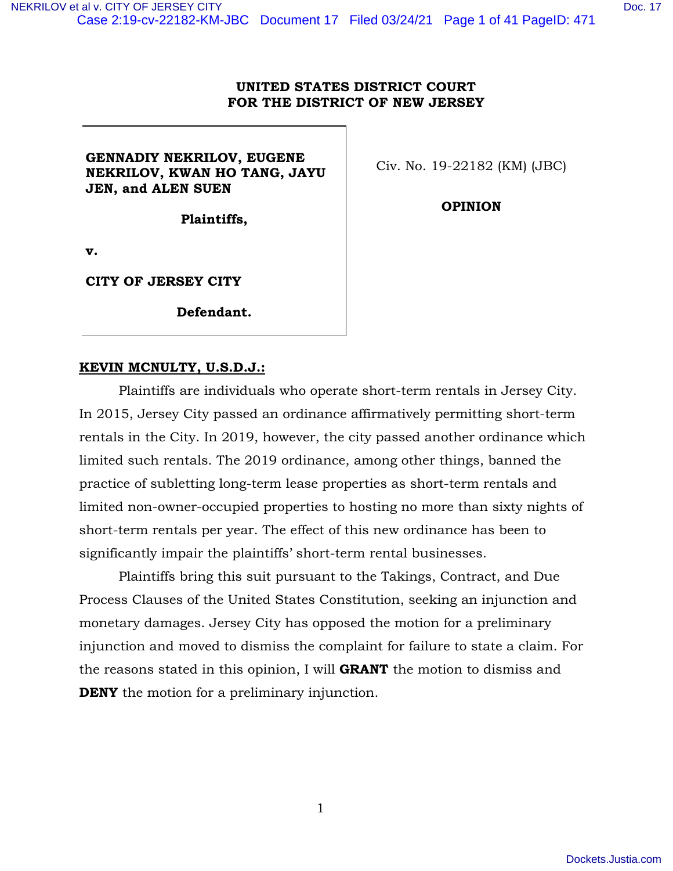#### **UNITED STATES DISTRICT COURT FOR THE DISTRICT OF NEW JERSEY**

## **GENNADIY NEKRILOV, EUGENE NEKRILOV, KWAN HO TANG, JAYU JEN, and ALEN SUEN**

Civ. No. 19-22182 (KM) (JBC)

**OPINION**

**Plaintiffs,** 

**v.** 

**CITY OF JERSEY CITY** 

**Defendant.** 

#### **KEVIN MCNULTY, U.S.D.J.:**

Plaintiffs are individuals who operate short-term rentals in Jersey City. In 2015, Jersey City passed an ordinance affirmatively permitting short-term rentals in the City. In 2019, however, the city passed another ordinance which limited such rentals. The 2019 ordinance, among other things, banned the practice of subletting long-term lease properties as short-term rentals and limited non-owner-occupied properties to hosting no more than sixty nights of short-term rentals per year. The effect of this new ordinance has been to significantly impair the plaintiffs' short-term rental businesses.

Plaintiffs bring this suit pursuant to the Takings, Contract, and Due Process Clauses of the United States Constitution, seeking an injunction and monetary damages. Jersey City has opposed the motion for a preliminary injunction and moved to dismiss the complaint for failure to state a claim. For the reasons stated in this opinion, I will **GRANT** the motion to dismiss and **DENY** the motion for a preliminary injunction.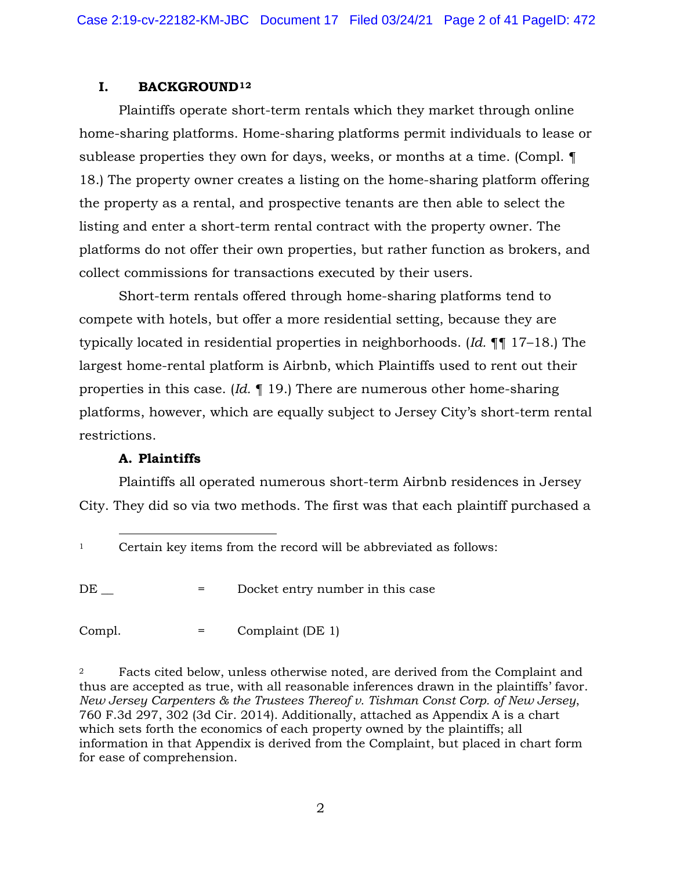#### **I. BACKGROUND[1](#page-1-0)[2](#page-1-1)**

Plaintiffs operate short-term rentals which they market through online home-sharing platforms. Home-sharing platforms permit individuals to lease or sublease properties they own for days, weeks, or months at a time. (Compl. ¶ 18.) The property owner creates a listing on the home-sharing platform offering the property as a rental, and prospective tenants are then able to select the listing and enter a short-term rental contract with the property owner. The platforms do not offer their own properties, but rather function as brokers, and collect commissions for transactions executed by their users.

Short-term rentals offered through home-sharing platforms tend to compete with hotels, but offer a more residential setting, because they are typically located in residential properties in neighborhoods. (*Id.* ¶¶ 17–18.) The largest home-rental platform is Airbnb, which Plaintiffs used to rent out their properties in this case. (*Id.* ¶ 19.) There are numerous other home-sharing platforms, however, which are equally subject to Jersey City's short-term rental restrictions.

## **A. Plaintiffs**

Plaintiffs all operated numerous short-term Airbnb residences in Jersey City. They did so via two methods. The first was that each plaintiff purchased a

<span id="page-1-0"></span><sup>1</sup> Certain key items from the record will be abbreviated as follows:

DE  $=$  Docket entry number in this case

Compl. = Complaint (DE 1)

<span id="page-1-1"></span><sup>2</sup> Facts cited below, unless otherwise noted, are derived from the Complaint and thus are accepted as true, with all reasonable inferences drawn in the plaintiffs' favor. *New Jersey Carpenters & the Trustees Thereof v. Tishman Const Corp. of New Jersey*, 760 F.3d 297, 302 (3d Cir. 2014). Additionally, attached as Appendix A is a chart which sets forth the economics of each property owned by the plaintiffs; all information in that Appendix is derived from the Complaint, but placed in chart form for ease of comprehension.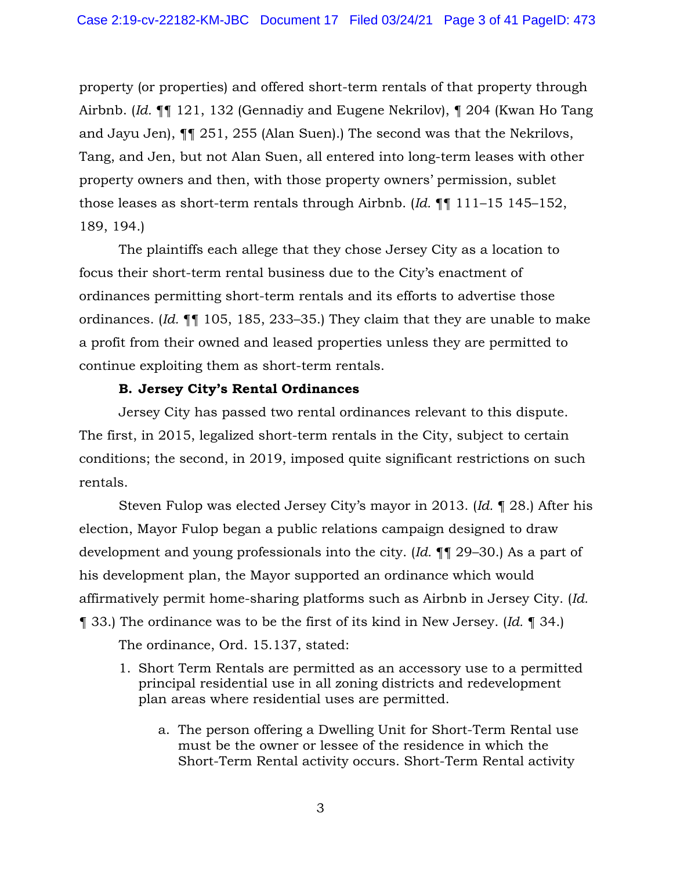property (or properties) and offered short-term rentals of that property through Airbnb. (*Id.* ¶¶ 121, 132 (Gennadiy and Eugene Nekrilov), ¶ 204 (Kwan Ho Tang and Jayu Jen), ¶¶ 251, 255 (Alan Suen).) The second was that the Nekrilovs, Tang, and Jen, but not Alan Suen, all entered into long-term leases with other property owners and then, with those property owners' permission, sublet those leases as short-term rentals through Airbnb. (*Id.* ¶¶ 111–15 145–152, 189, 194.)

The plaintiffs each allege that they chose Jersey City as a location to focus their short-term rental business due to the City's enactment of ordinances permitting short-term rentals and its efforts to advertise those ordinances. (*Id.* ¶¶ 105, 185, 233–35.) They claim that they are unable to make a profit from their owned and leased properties unless they are permitted to continue exploiting them as short-term rentals.

#### **B. Jersey City's Rental Ordinances**

Jersey City has passed two rental ordinances relevant to this dispute. The first, in 2015, legalized short-term rentals in the City, subject to certain conditions; the second, in 2019, imposed quite significant restrictions on such rentals.

Steven Fulop was elected Jersey City's mayor in 2013. (*Id.* ¶ 28.) After his election, Mayor Fulop began a public relations campaign designed to draw development and young professionals into the city. (*Id.* ¶¶ 29–30.) As a part of his development plan, the Mayor supported an ordinance which would affirmatively permit home-sharing platforms such as Airbnb in Jersey City. (*Id.* ¶ 33.) The ordinance was to be the first of its kind in New Jersey. (*Id.* ¶ 34.) The ordinance, Ord. 15.137, stated:

- 1. Short Term Rentals are permitted as an accessory use to a permitted principal residential use in all zoning districts and redevelopment plan areas where residential uses are permitted.
	- a. The person offering a Dwelling Unit for Short-Term Rental use must be the owner or lessee of the residence in which the Short-Term Rental activity occurs. Short-Term Rental activity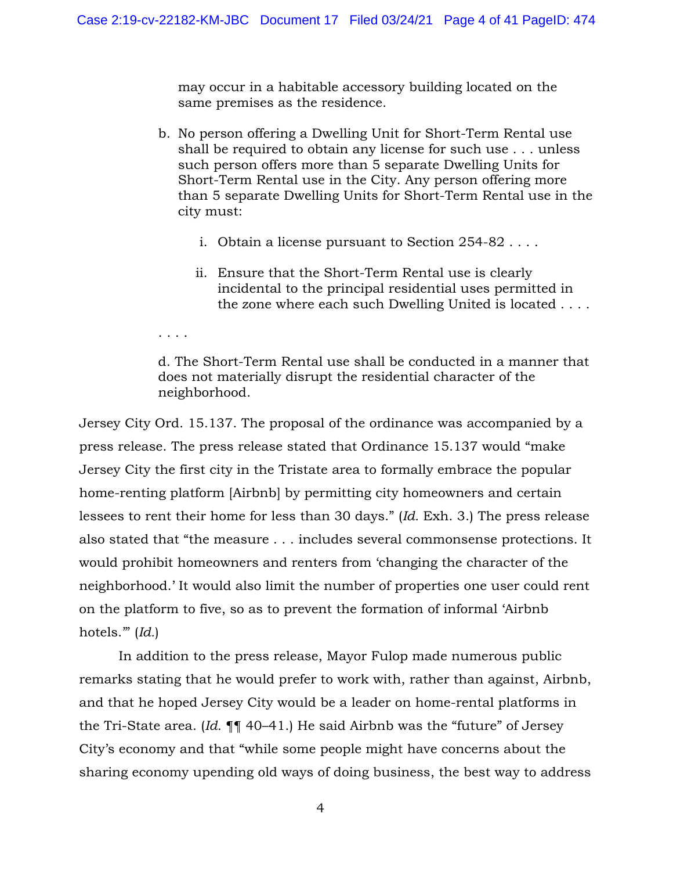may occur in a habitable accessory building located on the same premises as the residence.

- b. No person offering a Dwelling Unit for Short-Term Rental use shall be required to obtain any license for such use . . . unless such person offers more than 5 separate Dwelling Units for Short-Term Rental use in the City. Any person offering more than 5 separate Dwelling Units for Short-Term Rental use in the city must:
	- i. Obtain a license pursuant to Section 254-82 . . . .
	- ii. Ensure that the Short-Term Rental use is clearly incidental to the principal residential uses permitted in the zone where each such Dwelling United is located . . . .

d. The Short-Term Rental use shall be conducted in a manner that does not materially disrupt the residential character of the neighborhood.

Jersey City Ord. 15.137. The proposal of the ordinance was accompanied by a press release. The press release stated that Ordinance 15.137 would "make Jersey City the first city in the Tristate area to formally embrace the popular home-renting platform [Airbnb] by permitting city homeowners and certain lessees to rent their home for less than 30 days." (*Id.* Exh. 3.) The press release also stated that "the measure . . . includes several commonsense protections. It would prohibit homeowners and renters from 'changing the character of the neighborhood.' It would also limit the number of properties one user could rent on the platform to five, so as to prevent the formation of informal 'Airbnb hotels.'" (*Id.*)

. . . .

In addition to the press release, Mayor Fulop made numerous public remarks stating that he would prefer to work with, rather than against, Airbnb, and that he hoped Jersey City would be a leader on home-rental platforms in the Tri-State area. (*Id.* ¶¶ 40–41.) He said Airbnb was the "future" of Jersey City's economy and that "while some people might have concerns about the sharing economy upending old ways of doing business, the best way to address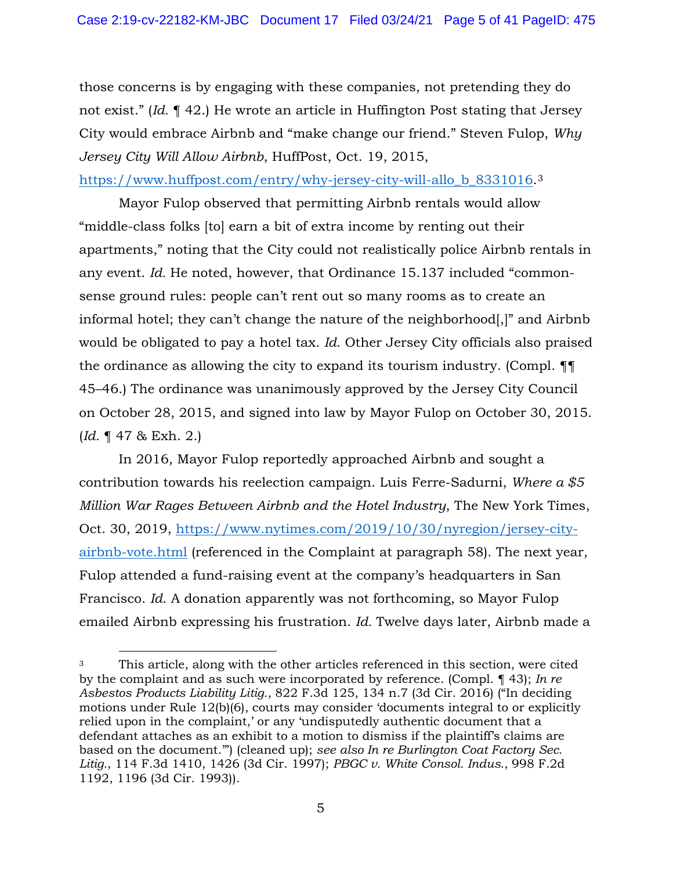those concerns is by engaging with these companies, not pretending they do not exist." (*Id.* ¶ 42.) He wrote an article in Huffington Post stating that Jersey City would embrace Airbnb and "make change our friend." Steven Fulop, *Why Jersey City Will Allow Airbnb*, HuffPost, Oct. 19, 2015,

[https://www.huffpost.com/entry/why-jersey-city-will-allo\\_b\\_8331016.](https://www.huffpost.com/entry/why-jersey-city-will-allo_b_8331016) [3](#page-4-0)

Mayor Fulop observed that permitting Airbnb rentals would allow "middle-class folks [to] earn a bit of extra income by renting out their apartments," noting that the City could not realistically police Airbnb rentals in any event. *Id.* He noted, however, that Ordinance 15.137 included "commonsense ground rules: people can't rent out so many rooms as to create an informal hotel; they can't change the nature of the neighborhood[,]" and Airbnb would be obligated to pay a hotel tax. *Id.* Other Jersey City officials also praised the ordinance as allowing the city to expand its tourism industry. (Compl. ¶¶ 45–46.) The ordinance was unanimously approved by the Jersey City Council on October 28, 2015, and signed into law by Mayor Fulop on October 30, 2015. (*Id.* ¶ 47 & Exh. 2.)

In 2016, Mayor Fulop reportedly approached Airbnb and sought a contribution towards his reelection campaign. Luis Ferre-Sadurni, *Where a \$5 Million War Rages Between Airbnb and the Hotel Industry*, The New York Times, Oct. 30, 2019, [https://www.nytimes.com/2019/10/30/nyregion/jersey-city](https://www.nytimes.com/2019/10/30/nyregion/jersey-city-airbnb-vote.html)[airbnb-vote.html](https://www.nytimes.com/2019/10/30/nyregion/jersey-city-airbnb-vote.html) (referenced in the Complaint at paragraph 58). The next year, Fulop attended a fund-raising event at the company's headquarters in San Francisco. *Id*. A donation apparently was not forthcoming, so Mayor Fulop emailed Airbnb expressing his frustration. *Id.* Twelve days later, Airbnb made a

<span id="page-4-0"></span><sup>3</sup> This article, along with the other articles referenced in this section, were cited by the complaint and as such were incorporated by reference. (Compl. ¶ 43); *In re Asbestos Products Liability Litig.*, 822 F.3d 125, 134 n.7 (3d Cir. 2016) ("In deciding motions under Rule 12(b)(6), courts may consider 'documents integral to or explicitly relied upon in the complaint,' or any 'undisputedly authentic document that a defendant attaches as an exhibit to a motion to dismiss if the plaintiff's claims are based on the document.'") (cleaned up); *see also In re Burlington Coat Factory Sec. Litig.*, 114 F.3d 1410, 1426 (3d Cir. 1997); *PBGC v. White Consol. Indus.*, 998 F.2d 1192, 1196 (3d Cir. 1993)).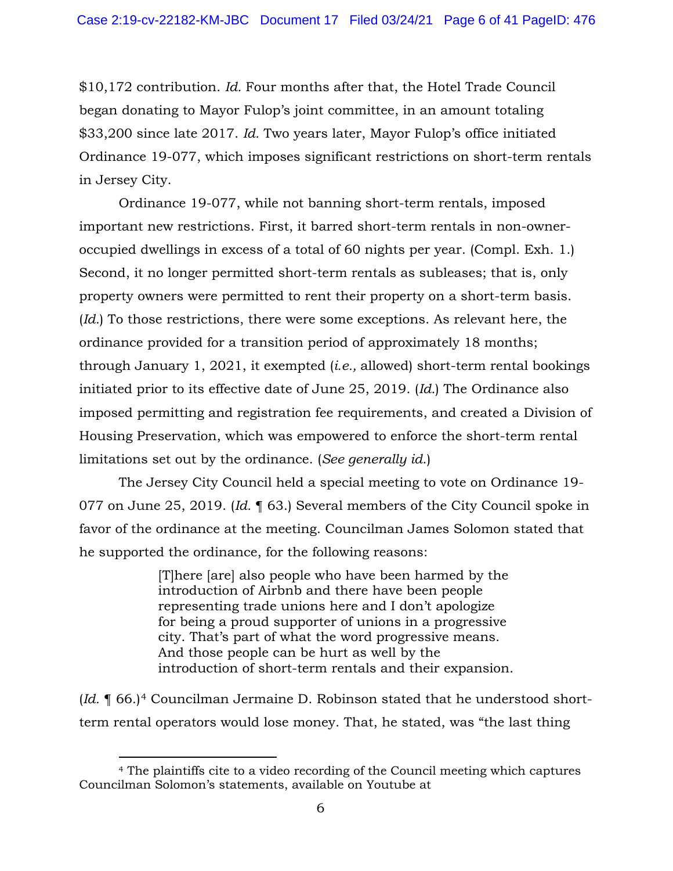\$10,172 contribution. *Id.* Four months after that, the Hotel Trade Council began donating to Mayor Fulop's joint committee, in an amount totaling \$33,200 since late 2017. *Id.* Two years later, Mayor Fulop's office initiated Ordinance 19-077, which imposes significant restrictions on short-term rentals in Jersey City.

Ordinance 19-077, while not banning short-term rentals, imposed important new restrictions. First, it barred short-term rentals in non-owneroccupied dwellings in excess of a total of 60 nights per year. (Compl. Exh. 1.) Second, it no longer permitted short-term rentals as subleases; that is, only property owners were permitted to rent their property on a short-term basis. (*Id.*) To those restrictions, there were some exceptions. As relevant here, the ordinance provided for a transition period of approximately 18 months; through January 1, 2021, it exempted (*i.e.,* allowed) short-term rental bookings initiated prior to its effective date of June 25, 2019. (*Id.*) The Ordinance also imposed permitting and registration fee requirements, and created a Division of Housing Preservation, which was empowered to enforce the short-term rental limitations set out by the ordinance. (*See generally id*.)

The Jersey City Council held a special meeting to vote on Ordinance 19- 077 on June 25, 2019. (*Id.* ¶ 63.) Several members of the City Council spoke in favor of the ordinance at the meeting. Councilman James Solomon stated that he supported the ordinance, for the following reasons:

> [T]here [are] also people who have been harmed by the introduction of Airbnb and there have been people representing trade unions here and I don't apologize for being a proud supporter of unions in a progressive city. That's part of what the word progressive means. And those people can be hurt as well by the introduction of short-term rentals and their expansion.

(*Id.* ¶ 66.)[4](#page-5-0) Councilman Jermaine D. Robinson stated that he understood shortterm rental operators would lose money. That, he stated, was "the last thing

<span id="page-5-0"></span><sup>4</sup> The plaintiffs cite to a video recording of the Council meeting which captures Councilman Solomon's statements, available on Youtube at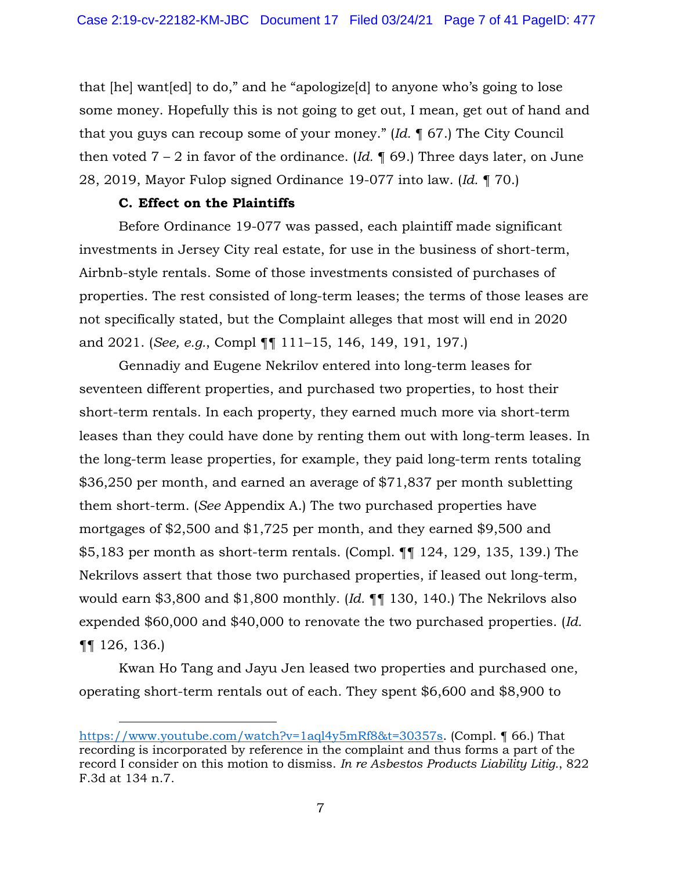that [he] want[ed] to do," and he "apologize[d] to anyone who's going to lose some money. Hopefully this is not going to get out, I mean, get out of hand and that you guys can recoup some of your money." (*Id.* ¶ 67.) The City Council then voted  $7 - 2$  in favor of the ordinance. (*Id.*  $\sqrt{ }$  69.) Three days later, on June 28, 2019, Mayor Fulop signed Ordinance 19-077 into law. (*Id.* ¶ 70.)

#### **C. Effect on the Plaintiffs**

Before Ordinance 19-077 was passed, each plaintiff made significant investments in Jersey City real estate, for use in the business of short-term, Airbnb-style rentals. Some of those investments consisted of purchases of properties. The rest consisted of long-term leases; the terms of those leases are not specifically stated, but the Complaint alleges that most will end in 2020 and 2021. (*See, e.g.*, Compl ¶¶ 111–15, 146, 149, 191, 197.)

Gennadiy and Eugene Nekrilov entered into long-term leases for seventeen different properties, and purchased two properties, to host their short-term rentals. In each property, they earned much more via short-term leases than they could have done by renting them out with long-term leases. In the long-term lease properties, for example, they paid long-term rents totaling \$36,250 per month, and earned an average of \$71,837 per month subletting them short-term. (*See* Appendix A.) The two purchased properties have mortgages of \$2,500 and \$1,725 per month, and they earned \$9,500 and \$5,183 per month as short-term rentals. (Compl. ¶¶ 124, 129, 135, 139.) The Nekrilovs assert that those two purchased properties, if leased out long-term, would earn \$3,800 and \$1,800 monthly. (*Id.* ¶¶ 130, 140.) The Nekrilovs also expended \$60,000 and \$40,000 to renovate the two purchased properties. (*Id.*  ¶¶ 126, 136.)

Kwan Ho Tang and Jayu Jen leased two properties and purchased one, operating short-term rentals out of each. They spent \$6,600 and \$8,900 to

[https://www.youtube.com/watch?v=1aql4y5mRf8&t=30357s.](https://www.youtube.com/watch?v=1aql4y5mRf8&t=30357s) (Compl. ¶ 66.) That recording is incorporated by reference in the complaint and thus forms a part of the record I consider on this motion to dismiss. *In re Asbestos Products Liability Litig.*, 822 F.3d at 134 n.7.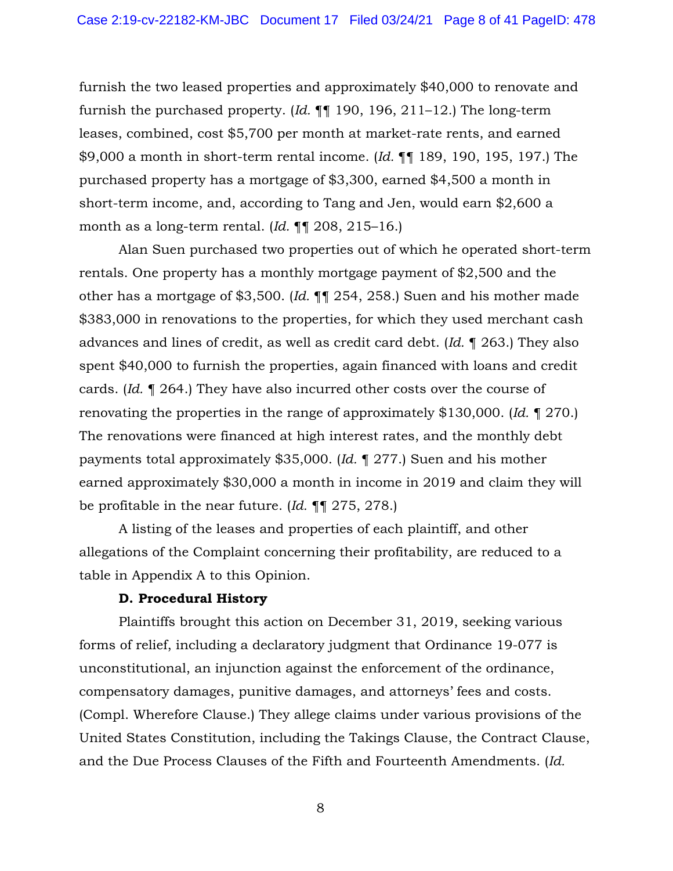furnish the two leased properties and approximately \$40,000 to renovate and furnish the purchased property. (*Id.* ¶¶ 190, 196, 211–12.) The long-term leases, combined, cost \$5,700 per month at market-rate rents, and earned \$9,000 a month in short-term rental income. (*Id.* ¶¶ 189, 190, 195, 197.) The purchased property has a mortgage of \$3,300, earned \$4,500 a month in short-term income, and, according to Tang and Jen, would earn \$2,600 a month as a long-term rental. (*Id.* ¶¶ 208, 215–16.)

Alan Suen purchased two properties out of which he operated short-term rentals. One property has a monthly mortgage payment of \$2,500 and the other has a mortgage of \$3,500. (*Id.* ¶¶ 254, 258.) Suen and his mother made \$383,000 in renovations to the properties, for which they used merchant cash advances and lines of credit, as well as credit card debt. (*Id.* ¶ 263.) They also spent \$40,000 to furnish the properties, again financed with loans and credit cards. (*Id.* ¶ 264.) They have also incurred other costs over the course of renovating the properties in the range of approximately \$130,000. (*Id.* ¶ 270.) The renovations were financed at high interest rates, and the monthly debt payments total approximately \$35,000. (*Id.* ¶ 277.) Suen and his mother earned approximately \$30,000 a month in income in 2019 and claim they will be profitable in the near future. (*Id.* ¶¶ 275, 278.)

A listing of the leases and properties of each plaintiff, and other allegations of the Complaint concerning their profitability, are reduced to a table in Appendix A to this Opinion.

#### **D. Procedural History**

Plaintiffs brought this action on December 31, 2019, seeking various forms of relief, including a declaratory judgment that Ordinance 19-077 is unconstitutional, an injunction against the enforcement of the ordinance, compensatory damages, punitive damages, and attorneys' fees and costs. (Compl. Wherefore Clause.) They allege claims under various provisions of the United States Constitution, including the Takings Clause, the Contract Clause, and the Due Process Clauses of the Fifth and Fourteenth Amendments. (*Id.*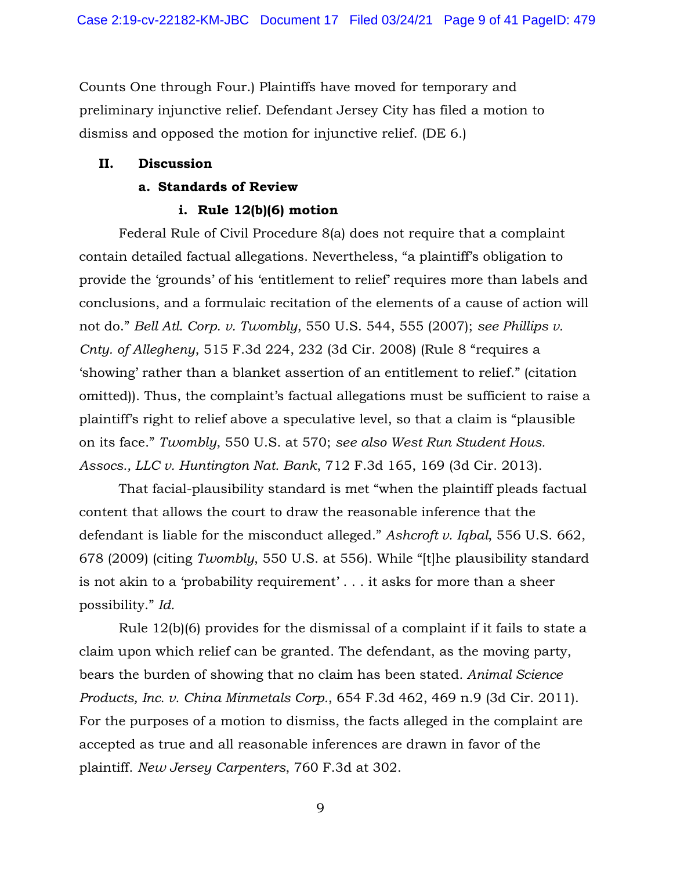Counts One through Four.) Plaintiffs have moved for temporary and preliminary injunctive relief. Defendant Jersey City has filed a motion to dismiss and opposed the motion for injunctive relief. (DE 6.)

## **II. Discussion**

## **a. Standards of Review**

## **i. Rule 12(b)(6) motion**

Federal Rule of Civil Procedure 8(a) does not require that a complaint contain detailed factual allegations. Nevertheless, "a plaintiff's obligation to provide the 'grounds' of his 'entitlement to relief' requires more than labels and conclusions, and a formulaic recitation of the elements of a cause of action will not do." *Bell Atl. Corp. v. Twombly*, 550 U.S. 544, 555 (2007); *see Phillips v. Cnty. of Allegheny*, 515 F.3d 224, 232 (3d Cir. 2008) (Rule 8 "requires a 'showing' rather than a blanket assertion of an entitlement to relief." (citation omitted)). Thus, the complaint's factual allegations must be sufficient to raise a plaintiff's right to relief above a speculative level, so that a claim is "plausible on its face." *Twombly*, 550 U.S. at 570; *see also West Run Student Hous. Assocs., LLC v. Huntington Nat. Bank*, 712 F.3d 165, 169 (3d Cir. 2013).

That facial-plausibility standard is met "when the plaintiff pleads factual content that allows the court to draw the reasonable inference that the defendant is liable for the misconduct alleged." *Ashcroft v. Iqbal*, 556 U.S. 662, 678 (2009) (citing *Twombly*, 550 U.S. at 556). While "[t]he plausibility standard is not akin to a 'probability requirement' . . . it asks for more than a sheer possibility." *Id.*

Rule 12(b)(6) provides for the dismissal of a complaint if it fails to state a claim upon which relief can be granted. The defendant, as the moving party, bears the burden of showing that no claim has been stated*. Animal Science Products, Inc. v. China Minmetals Corp.*, 654 F.3d 462, 469 n.9 (3d Cir. 2011). For the purposes of a motion to dismiss, the facts alleged in the complaint are accepted as true and all reasonable inferences are drawn in favor of the plaintiff. *New Jersey Carpenters*, 760 F.3d at 302.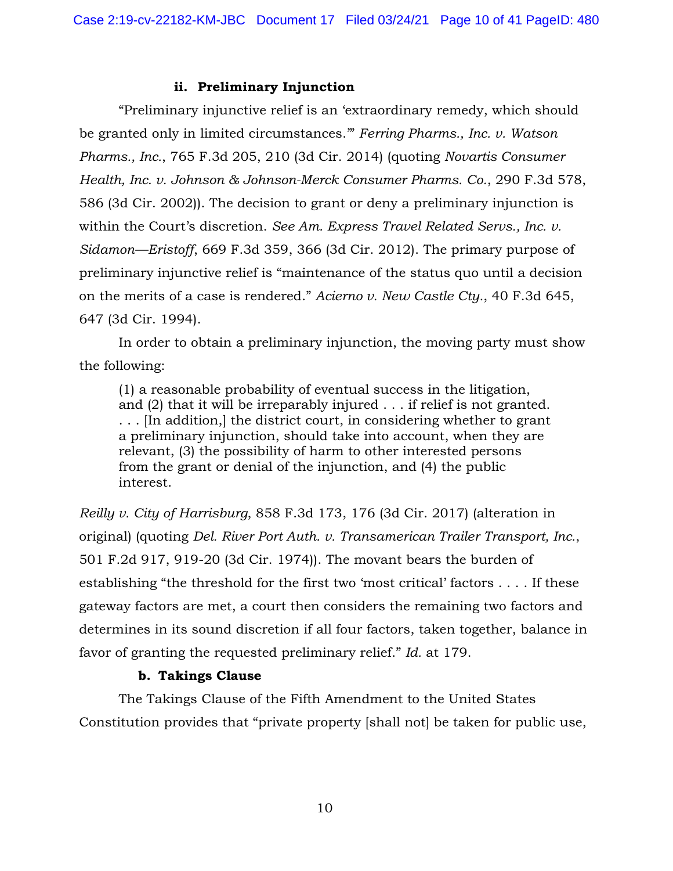#### **ii. Preliminary Injunction**

"Preliminary injunctive relief is an 'extraordinary remedy, which should be granted only in limited circumstances.'" *Ferring Pharms., Inc. v. Watson Pharms., Inc.*, 765 F.3d 205, 210 (3d Cir. 2014) (quoting *Novartis Consumer Health, Inc. v. Johnson & Johnson-Merck Consumer Pharms. Co.*, 290 F.3d 578, 586 (3d Cir. 2002)). The decision to grant or deny a preliminary injunction is within the Court's discretion. *See Am. Express Travel Related Servs., Inc. v. Sidamon—Eristoff*, 669 F.3d 359, 366 (3d Cir. 2012). The primary purpose of preliminary injunctive relief is "maintenance of the status quo until a decision on the merits of a case is rendered." *Acierno v. New Castle Cty.*, 40 F.3d 645, 647 (3d Cir. 1994).

In order to obtain a preliminary injunction, the moving party must show the following:

(1) a reasonable probability of eventual success in the litigation, and (2) that it will be irreparably injured . . . if relief is not granted. . . . [In addition,] the district court, in considering whether to grant a preliminary injunction, should take into account, when they are relevant, (3) the possibility of harm to other interested persons from the grant or denial of the injunction, and (4) the public interest.

*Reilly v. City of Harrisburg*, 858 F.3d 173, 176 (3d Cir. 2017) (alteration in original) (quoting *Del. River Port Auth. v. Transamerican Trailer Transport, Inc.*, 501 F.2d 917, 919-20 (3d Cir. 1974)). The movant bears the burden of establishing "the threshold for the first two 'most critical' factors . . . . If these gateway factors are met, a court then considers the remaining two factors and determines in its sound discretion if all four factors, taken together, balance in favor of granting the requested preliminary relief." *Id.* at 179.

#### **b. Takings Clause**

The Takings Clause of the Fifth Amendment to the United States Constitution provides that "private property [shall not] be taken for public use,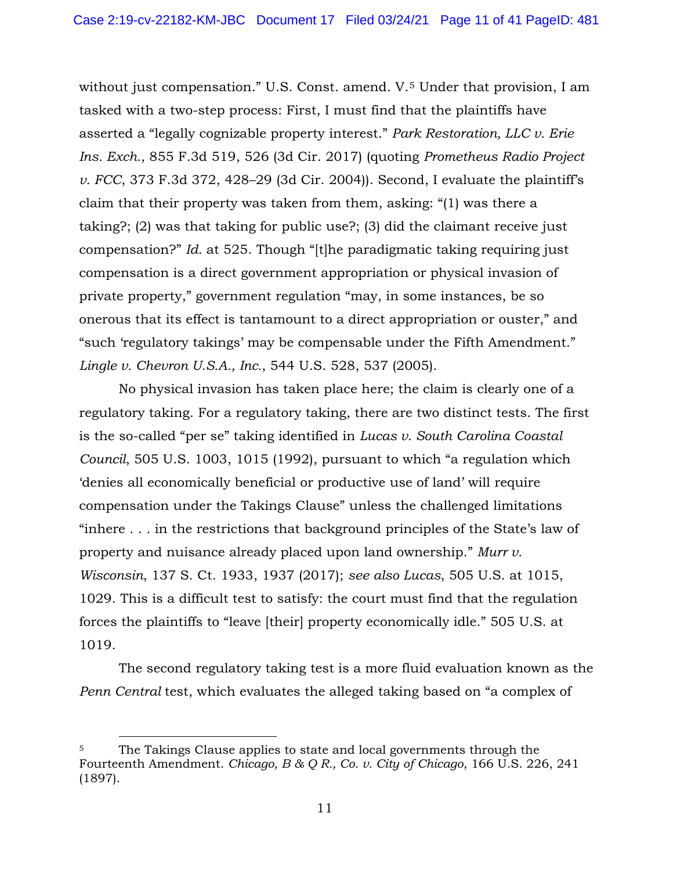without just compensation." U.S. Const. amend. V.<sup>[5](#page-10-0)</sup> Under that provision, I am tasked with a two-step process: First, I must find that the plaintiffs have asserted a "legally cognizable property interest." *Park Restoration, LLC v. Erie Ins. Exch.*, 855 F.3d 519, 526 (3d Cir. 2017) (quoting *Prometheus Radio Project v. FCC*, 373 F.3d 372, 428–29 (3d Cir. 2004)). Second, I evaluate the plaintiff's claim that their property was taken from them, asking: "(1) was there a taking?; (2) was that taking for public use?; (3) did the claimant receive just compensation?" *Id.* at 525. Though "[t]he paradigmatic taking requiring just compensation is a direct government appropriation or physical invasion of private property," government regulation "may, in some instances, be so onerous that its effect is tantamount to a direct appropriation or ouster," and "such 'regulatory takings' may be compensable under the Fifth Amendment." *Lingle v. Chevron U.S.A., Inc.*, 544 U.S. 528, 537 (2005).

No physical invasion has taken place here; the claim is clearly one of a regulatory taking. For a regulatory taking, there are two distinct tests. The first is the so-called "per se" taking identified in *Lucas v. South Carolina Coastal Council*, 505 U.S. 1003, 1015 (1992), pursuant to which "a regulation which 'denies all economically beneficial or productive use of land' will require compensation under the Takings Clause" unless the challenged limitations "inhere . . . in the restrictions that background principles of the State's law of property and nuisance already placed upon land ownership." *Murr v. Wisconsin*, 137 S. Ct. 1933, 1937 (2017); *see also Lucas*, 505 U.S. at 1015, 1029. This is a difficult test to satisfy: the court must find that the regulation forces the plaintiffs to "leave [their] property economically idle." 505 U.S. at 1019.

The second regulatory taking test is a more fluid evaluation known as the *Penn Central* test, which evaluates the alleged taking based on "a complex of

<span id="page-10-0"></span><sup>5</sup> The Takings Clause applies to state and local governments through the Fourteenth Amendment. *Chicago, B & Q R., Co. v. City of Chicago*, 166 U.S. 226, 241 (1897).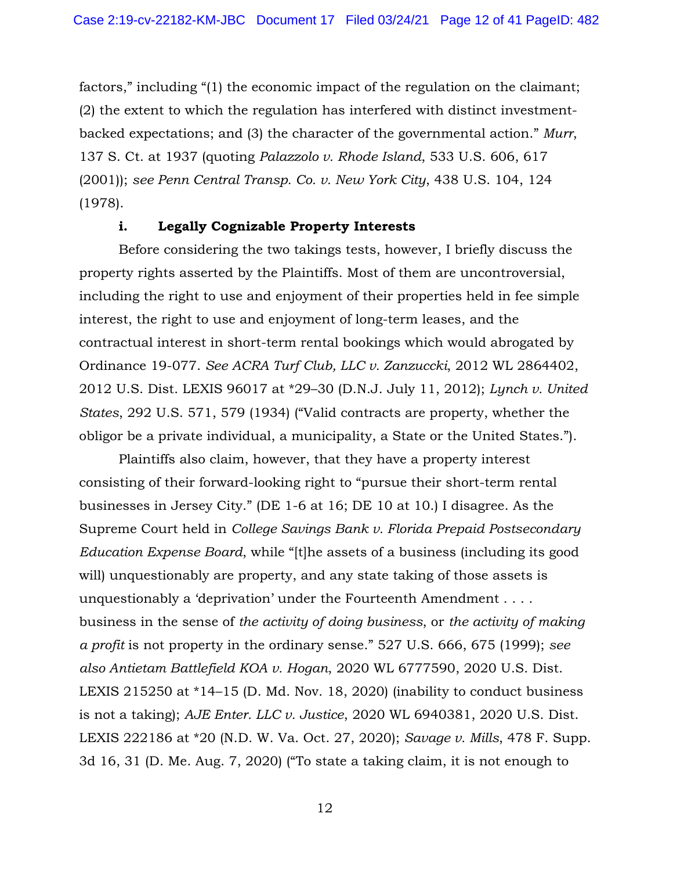factors," including "(1) the economic impact of the regulation on the claimant; (2) the extent to which the regulation has interfered with distinct investmentbacked expectations; and (3) the character of the governmental action." *Murr*, 137 S. Ct. at 1937 (quoting *Palazzolo v. Rhode Island*, 533 U.S. 606, 617 (2001)); *see Penn Central Transp. Co. v. New York City*, 438 U.S. 104, 124 (1978).

#### **i. Legally Cognizable Property Interests**

Before considering the two takings tests, however, I briefly discuss the property rights asserted by the Plaintiffs. Most of them are uncontroversial, including the right to use and enjoyment of their properties held in fee simple interest, the right to use and enjoyment of long-term leases, and the contractual interest in short-term rental bookings which would abrogated by Ordinance 19-077. *See ACRA Turf Club, LLC v. Zanzuccki*, 2012 WL 2864402, 2012 U.S. Dist. LEXIS 96017 at \*29–30 (D.N.J. July 11, 2012); *Lynch v. United States*, 292 U.S. 571, 579 (1934) ("Valid contracts are property, whether the obligor be a private individual, a municipality, a State or the United States.").

Plaintiffs also claim, however, that they have a property interest consisting of their forward-looking right to "pursue their short-term rental businesses in Jersey City." (DE 1-6 at 16; DE 10 at 10.) I disagree. As the Supreme Court held in *College Savings Bank v. Florida Prepaid Postsecondary Education Expense Board*, while "[t]he assets of a business (including its good will) unquestionably are property, and any state taking of those assets is unquestionably a 'deprivation' under the Fourteenth Amendment . . . . business in the sense of *the activity of doing business*, or *the activity of making a profit* is not property in the ordinary sense." 527 U.S. 666, 675 (1999); *see also Antietam Battlefield KOA v. Hogan*, 2020 WL 6777590, 2020 U.S. Dist. LEXIS 215250 at \*14–15 (D. Md. Nov. 18, 2020) (inability to conduct business is not a taking); *AJE Enter. LLC v. Justice*, 2020 WL 6940381, 2020 U.S. Dist. LEXIS 222186 at \*20 (N.D. W. Va. Oct. 27, 2020); *Savage v. Mills*, 478 F. Supp. 3d 16, 31 (D. Me. Aug. 7, 2020) ("To state a taking claim, it is not enough to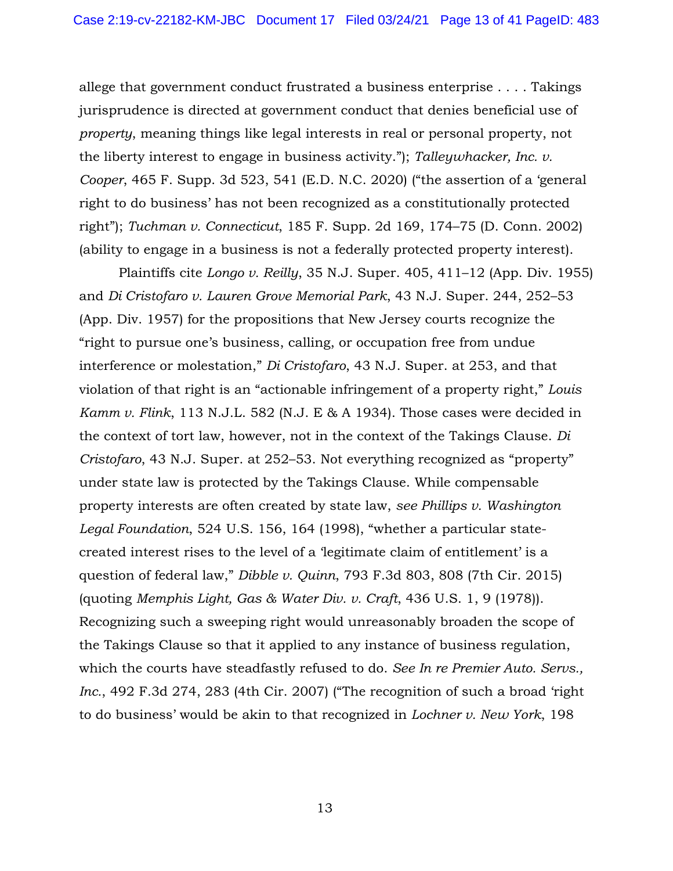allege that government conduct frustrated a business enterprise . . . . Takings jurisprudence is directed at government conduct that denies beneficial use of *property*, meaning things like legal interests in real or personal property, not the liberty interest to engage in business activity."); *Talleywhacker, Inc. v. Cooper*, 465 F. Supp. 3d 523, 541 (E.D. N.C. 2020) ("the assertion of a 'general right to do business' has not been recognized as a constitutionally protected right"); *Tuchman v. Connecticut*, 185 F. Supp. 2d 169, 174–75 (D. Conn. 2002) (ability to engage in a business is not a federally protected property interest).

Plaintiffs cite *Longo v. Reilly*, 35 N.J. Super. 405, 411–12 (App. Div. 1955) and *Di Cristofaro v. Lauren Grove Memorial Park*, 43 N.J. Super. 244, 252–53 (App. Div. 1957) for the propositions that New Jersey courts recognize the "right to pursue one's business, calling, or occupation free from undue interference or molestation," *Di Cristofaro*, 43 N.J. Super. at 253, and that violation of that right is an "actionable infringement of a property right," *Louis Kamm v. Flink*, 113 N.J.L. 582 (N.J. E & A 1934). Those cases were decided in the context of tort law, however, not in the context of the Takings Clause. *Di Cristofaro*, 43 N.J. Super. at 252–53. Not everything recognized as "property" under state law is protected by the Takings Clause. While compensable property interests are often created by state law, *see Phillips v. Washington Legal Foundation*, 524 U.S. 156, 164 (1998), "whether a particular statecreated interest rises to the level of a 'legitimate claim of entitlement' is a question of federal law," *Dibble v. Quinn*, 793 F.3d 803, 808 (7th Cir. 2015) (quoting *Memphis Light, Gas & Water Div. v. Craft*, 436 U.S. 1, 9 (1978)). Recognizing such a sweeping right would unreasonably broaden the scope of the Takings Clause so that it applied to any instance of business regulation, which the courts have steadfastly refused to do. *See In re Premier Auto. Servs., Inc.*, 492 F.3d 274, 283 (4th Cir. 2007) ("The recognition of such a broad 'right to do business' would be akin to that recognized in *Lochner v. New York*, 198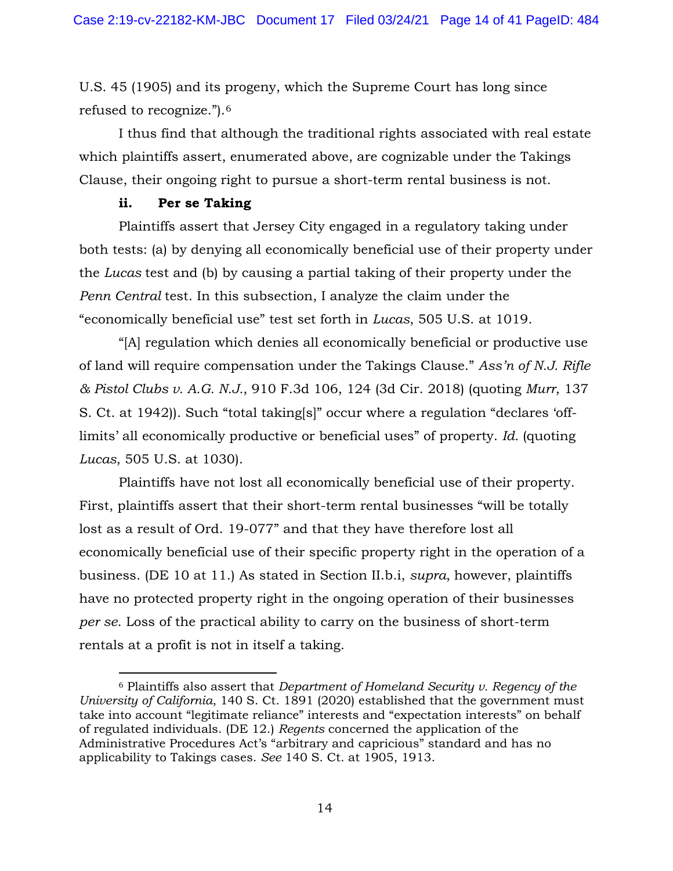U.S. 45 (1905) and its progeny, which the Supreme Court has long since refused to recognize.").[6](#page-13-0)

I thus find that although the traditional rights associated with real estate which plaintiffs assert, enumerated above, are cognizable under the Takings Clause, their ongoing right to pursue a short-term rental business is not.

#### **ii. Per se Taking**

Plaintiffs assert that Jersey City engaged in a regulatory taking under both tests: (a) by denying all economically beneficial use of their property under the *Lucas* test and (b) by causing a partial taking of their property under the *Penn Central* test. In this subsection, I analyze the claim under the "economically beneficial use" test set forth in *Lucas*, 505 U.S. at 1019.

"[A] regulation which denies all economically beneficial or productive use of land will require compensation under the Takings Clause." *Ass'n of N.J. Rifle & Pistol Clubs v. A.G. N.J.*, 910 F.3d 106, 124 (3d Cir. 2018) (quoting *Murr*, 137 S. Ct. at 1942)). Such "total taking[s]" occur where a regulation "declares 'offlimits' all economically productive or beneficial uses" of property. *Id.* (quoting *Lucas*, 505 U.S. at 1030).

Plaintiffs have not lost all economically beneficial use of their property. First, plaintiffs assert that their short-term rental businesses "will be totally lost as a result of Ord. 19-077" and that they have therefore lost all economically beneficial use of their specific property right in the operation of a business. (DE 10 at 11.) As stated in Section II.b.i, *supra*, however, plaintiffs have no protected property right in the ongoing operation of their businesses *per se*. Loss of the practical ability to carry on the business of short-term rentals at a profit is not in itself a taking.

<span id="page-13-0"></span><sup>6</sup> Plaintiffs also assert that *Department of Homeland Security v. Regency of the University of California*, 140 S. Ct. 1891 (2020) established that the government must take into account "legitimate reliance" interests and "expectation interests" on behalf of regulated individuals. (DE 12.) *Regents* concerned the application of the Administrative Procedures Act's "arbitrary and capricious" standard and has no applicability to Takings cases. *See* 140 S. Ct. at 1905, 1913.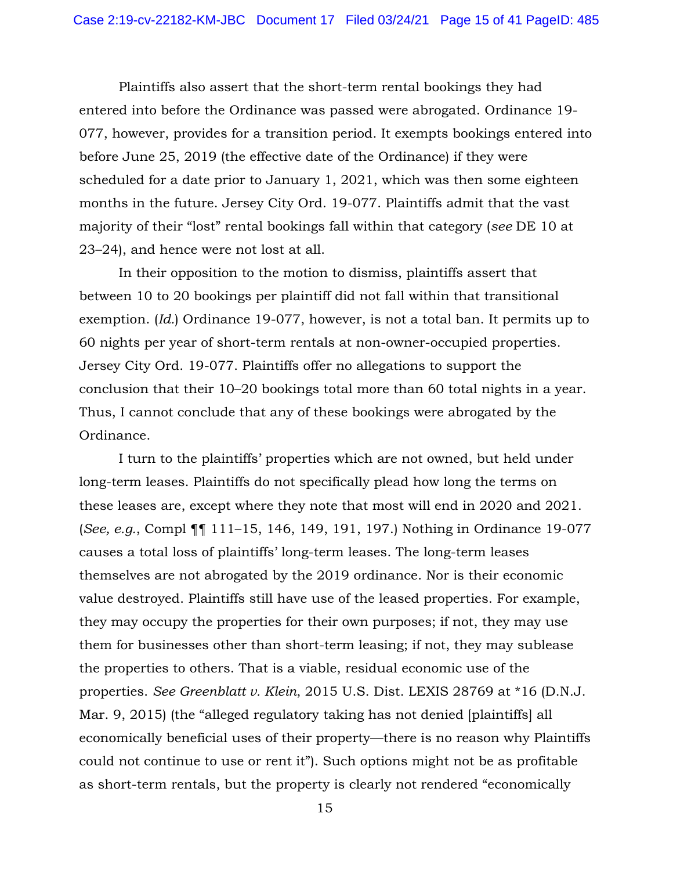Plaintiffs also assert that the short-term rental bookings they had entered into before the Ordinance was passed were abrogated. Ordinance 19- 077, however, provides for a transition period. It exempts bookings entered into before June 25, 2019 (the effective date of the Ordinance) if they were scheduled for a date prior to January 1, 2021, which was then some eighteen months in the future. Jersey City Ord. 19-077. Plaintiffs admit that the vast majority of their "lost" rental bookings fall within that category (*see* DE 10 at 23–24), and hence were not lost at all.

In their opposition to the motion to dismiss, plaintiffs assert that between 10 to 20 bookings per plaintiff did not fall within that transitional exemption. (*Id.*) Ordinance 19-077, however, is not a total ban. It permits up to 60 nights per year of short-term rentals at non-owner-occupied properties. Jersey City Ord. 19-077. Plaintiffs offer no allegations to support the conclusion that their 10–20 bookings total more than 60 total nights in a year. Thus, I cannot conclude that any of these bookings were abrogated by the Ordinance.

I turn to the plaintiffs' properties which are not owned, but held under long-term leases. Plaintiffs do not specifically plead how long the terms on these leases are, except where they note that most will end in 2020 and 2021. (*See, e.g.*, Compl ¶¶ 111–15, 146, 149, 191, 197.) Nothing in Ordinance 19-077 causes a total loss of plaintiffs' long-term leases. The long-term leases themselves are not abrogated by the 2019 ordinance. Nor is their economic value destroyed. Plaintiffs still have use of the leased properties. For example, they may occupy the properties for their own purposes; if not, they may use them for businesses other than short-term leasing; if not, they may sublease the properties to others. That is a viable, residual economic use of the properties. *See Greenblatt v. Klein*, 2015 U.S. Dist. LEXIS 28769 at \*16 (D.N.J. Mar. 9, 2015) (the "alleged regulatory taking has not denied [plaintiffs] all economically beneficial uses of their property—there is no reason why Plaintiffs could not continue to use or rent it"). Such options might not be as profitable as short-term rentals, but the property is clearly not rendered "economically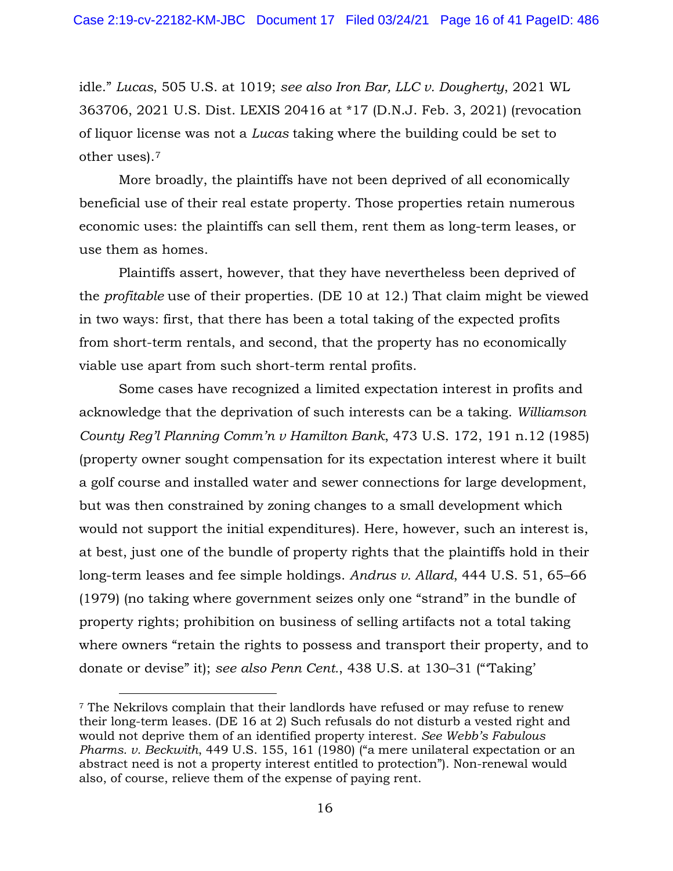idle." *Lucas*, 505 U.S. at 1019; *see also Iron Bar, LLC v. Dougherty*, 2021 WL 363706, 2021 U.S. Dist. LEXIS 20416 at \*17 (D.N.J. Feb. 3, 2021) (revocation of liquor license was not a *Lucas* taking where the building could be set to other uses).[7](#page-15-0)

More broadly, the plaintiffs have not been deprived of all economically beneficial use of their real estate property. Those properties retain numerous economic uses: the plaintiffs can sell them, rent them as long-term leases, or use them as homes.

Plaintiffs assert, however, that they have nevertheless been deprived of the *profitable* use of their properties. (DE 10 at 12.) That claim might be viewed in two ways: first, that there has been a total taking of the expected profits from short-term rentals, and second, that the property has no economically viable use apart from such short-term rental profits.

Some cases have recognized a limited expectation interest in profits and acknowledge that the deprivation of such interests can be a taking. *Williamson County Reg'l Planning Comm'n v Hamilton Bank*, 473 U.S. 172, 191 n.12 (1985) (property owner sought compensation for its expectation interest where it built a golf course and installed water and sewer connections for large development, but was then constrained by zoning changes to a small development which would not support the initial expenditures). Here, however, such an interest is, at best, just one of the bundle of property rights that the plaintiffs hold in their long-term leases and fee simple holdings. *Andrus v. Allard*, 444 U.S. 51, 65–66 (1979) (no taking where government seizes only one "strand" in the bundle of property rights; prohibition on business of selling artifacts not a total taking where owners "retain the rights to possess and transport their property, and to donate or devise" it); *see also Penn Cent.*, 438 U.S. at 130–31 ("'Taking'

<span id="page-15-0"></span><sup>7</sup> The Nekrilovs complain that their landlords have refused or may refuse to renew their long-term leases. (DE 16 at 2) Such refusals do not disturb a vested right and would not deprive them of an identified property interest. *See Webb's Fabulous Pharms. v. Beckwith*, 449 U.S. 155, 161 (1980) ("a mere unilateral expectation or an abstract need is not a property interest entitled to protection"). Non-renewal would also, of course, relieve them of the expense of paying rent.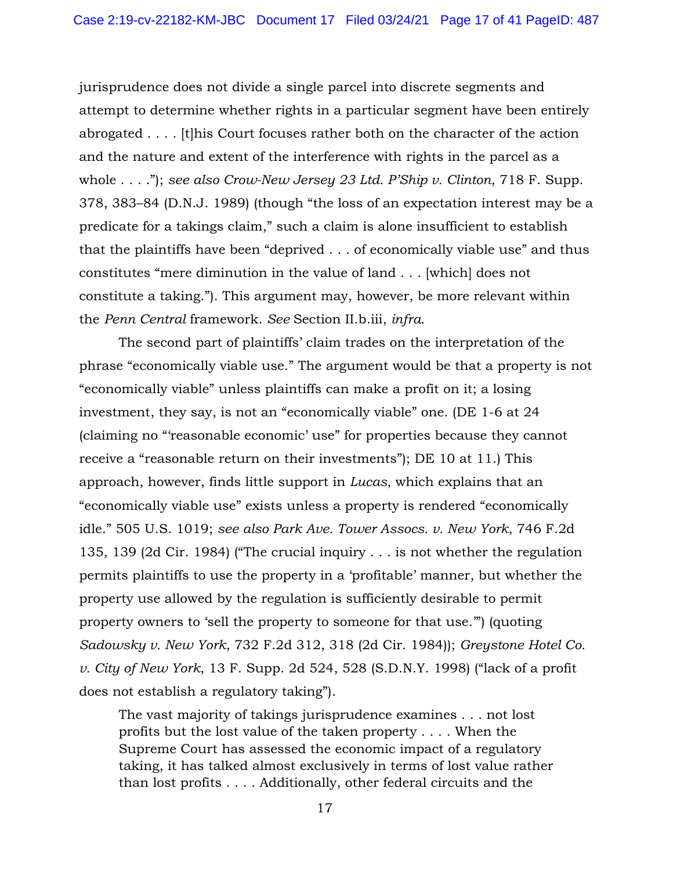jurisprudence does not divide a single parcel into discrete segments and attempt to determine whether rights in a particular segment have been entirely abrogated . . . . [t]his Court focuses rather both on the character of the action and the nature and extent of the interference with rights in the parcel as a whole . . . ."); *see also Crow-New Jersey 23 Ltd. P'Ship v. Clinton*, 718 F. Supp. 378, 383–84 (D.N.J. 1989) (though "the loss of an expectation interest may be a predicate for a takings claim," such a claim is alone insufficient to establish that the plaintiffs have been "deprived . . . of economically viable use" and thus constitutes "mere diminution in the value of land . . . [which] does not constitute a taking."). This argument may, however, be more relevant within the *Penn Central* framework. *See* Section II.b.iii, *infra*.

The second part of plaintiffs' claim trades on the interpretation of the phrase "economically viable use." The argument would be that a property is not "economically viable" unless plaintiffs can make a profit on it; a losing investment, they say, is not an "economically viable" one. (DE 1-6 at 24 (claiming no "'reasonable economic' use" for properties because they cannot receive a "reasonable return on their investments"); DE 10 at 11.) This approach, however, finds little support in *Lucas*, which explains that an "economically viable use" exists unless a property is rendered "economically idle." 505 U.S. 1019; *see also Park Ave. Tower Assocs. v. New York*, 746 F.2d 135, 139 (2d Cir. 1984) ("The crucial inquiry . . . is not whether the regulation permits plaintiffs to use the property in a 'profitable' manner, but whether the property use allowed by the regulation is sufficiently desirable to permit property owners to 'sell the property to someone for that use.'") (quoting *Sadowsky v. New York*, 732 F.2d 312, 318 (2d Cir. 1984)); *Greystone Hotel Co. v. City of New York*, 13 F. Supp. 2d 524, 528 (S.D.N.Y. 1998) ("lack of a profit does not establish a regulatory taking").

The vast majority of takings jurisprudence examines . . . not lost profits but the lost value of the taken property . . . . When the Supreme Court has assessed the economic impact of a regulatory taking, it has talked almost exclusively in terms of lost value rather than lost profits . . . . Additionally, other federal circuits and the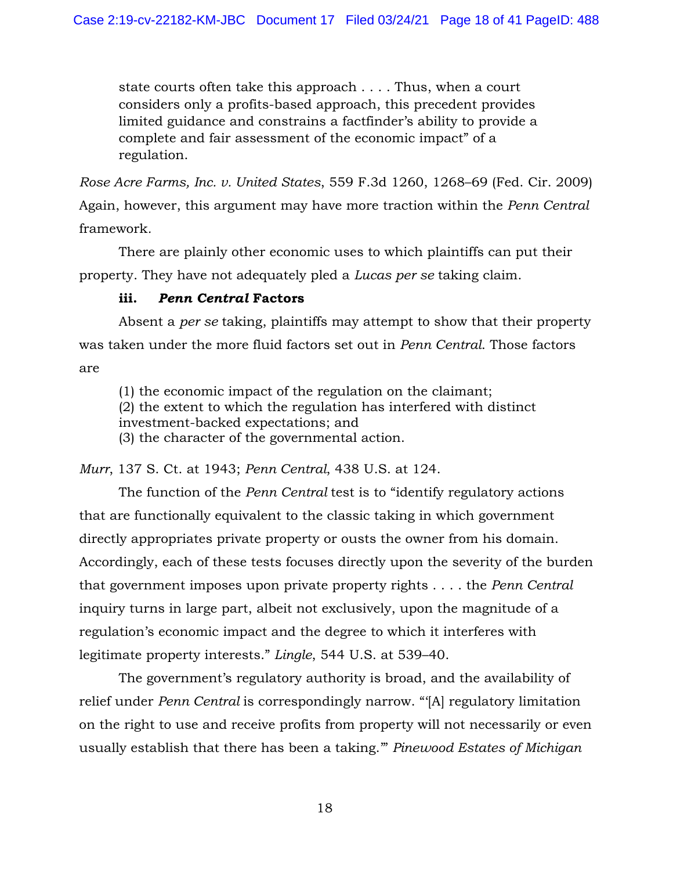state courts often take this approach . . . . Thus, when a court considers only a profits-based approach, this precedent provides limited guidance and constrains a factfinder's ability to provide a complete and fair assessment of the economic impact" of a regulation.

*Rose Acre Farms, Inc. v. United States*, 559 F.3d 1260, 1268–69 (Fed. Cir. 2009) Again, however, this argument may have more traction within the *Penn Central*  framework*.*

There are plainly other economic uses to which plaintiffs can put their property. They have not adequately pled a *Lucas per se* taking claim.

## **iii.** *Penn Central* **Factors**

Absent a *per se* taking, plaintiffs may attempt to show that their property was taken under the more fluid factors set out in *Penn Central*. Those factors are

(1) the economic impact of the regulation on the claimant; (2) the extent to which the regulation has interfered with distinct investment-backed expectations; and (3) the character of the governmental action.

*Murr*, 137 S. Ct. at 1943; *Penn Central*, 438 U.S. at 124.

The function of the *Penn Central* test is to "identify regulatory actions that are functionally equivalent to the classic taking in which government directly appropriates private property or ousts the owner from his domain. Accordingly, each of these tests focuses directly upon the severity of the burden that government imposes upon private property rights . . . . the *Penn Central*  inquiry turns in large part, albeit not exclusively, upon the magnitude of a regulation's economic impact and the degree to which it interferes with legitimate property interests." *Lingle*, 544 U.S. at 539–40.

The government's regulatory authority is broad, and the availability of relief under *Penn Central* is correspondingly narrow. "'[A] regulatory limitation on the right to use and receive profits from property will not necessarily or even usually establish that there has been a taking.'" *Pinewood Estates of Michigan*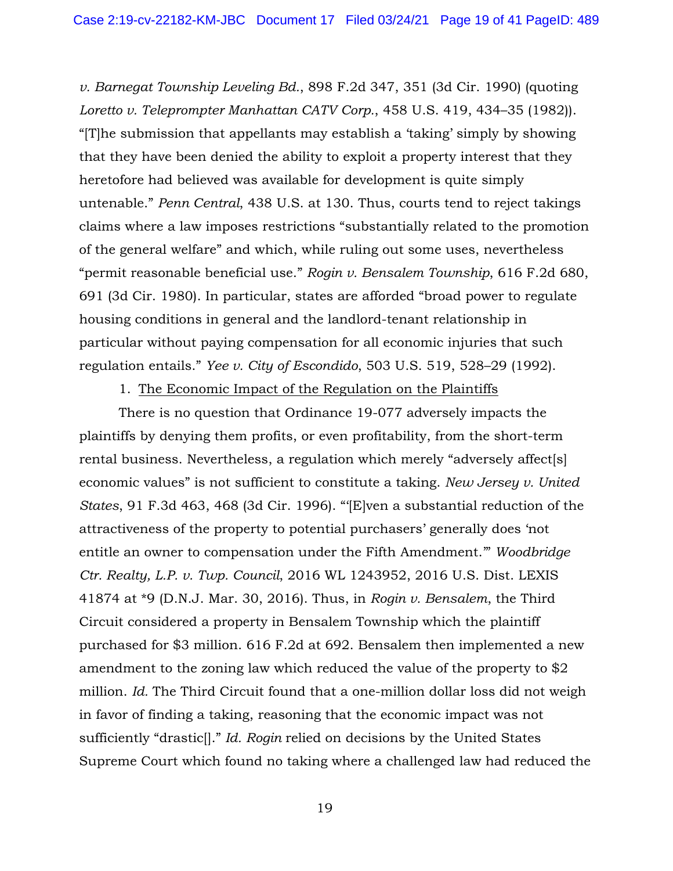*v. Barnegat Township Leveling Bd.*, 898 F.2d 347, 351 (3d Cir. 1990) (quoting *Loretto v. Teleprompter Manhattan CATV Corp.*, 458 U.S. 419, 434–35 (1982)). "[T]he submission that appellants may establish a 'taking' simply by showing that they have been denied the ability to exploit a property interest that they heretofore had believed was available for development is quite simply untenable." *Penn Central*, 438 U.S. at 130. Thus, courts tend to reject takings claims where a law imposes restrictions "substantially related to the promotion of the general welfare" and which, while ruling out some uses, nevertheless "permit reasonable beneficial use." *Rogin v. Bensalem Township*, 616 F.2d 680, 691 (3d Cir. 1980). In particular, states are afforded "broad power to regulate housing conditions in general and the landlord-tenant relationship in particular without paying compensation for all economic injuries that such regulation entails." *Yee v. City of Escondido*, 503 U.S. 519, 528–29 (1992).

#### 1. The Economic Impact of the Regulation on the Plaintiffs

There is no question that Ordinance 19-077 adversely impacts the plaintiffs by denying them profits, or even profitability, from the short-term rental business. Nevertheless, a regulation which merely "adversely affect[s] economic values" is not sufficient to constitute a taking. *New Jersey v. United States*, 91 F.3d 463, 468 (3d Cir. 1996). "'[E]ven a substantial reduction of the attractiveness of the property to potential purchasers' generally does 'not entitle an owner to compensation under the Fifth Amendment.'" *Woodbridge Ctr. Realty, L.P. v. Twp. Council*, 2016 WL 1243952, 2016 U.S. Dist. LEXIS 41874 at \*9 (D.N.J. Mar. 30, 2016). Thus, in *Rogin v. Bensalem*, the Third Circuit considered a property in Bensalem Township which the plaintiff purchased for \$3 million. 616 F.2d at 692. Bensalem then implemented a new amendment to the zoning law which reduced the value of the property to \$2 million. *Id.* The Third Circuit found that a one-million dollar loss did not weigh in favor of finding a taking, reasoning that the economic impact was not sufficiently "drastic[]." *Id. Rogin* relied on decisions by the United States Supreme Court which found no taking where a challenged law had reduced the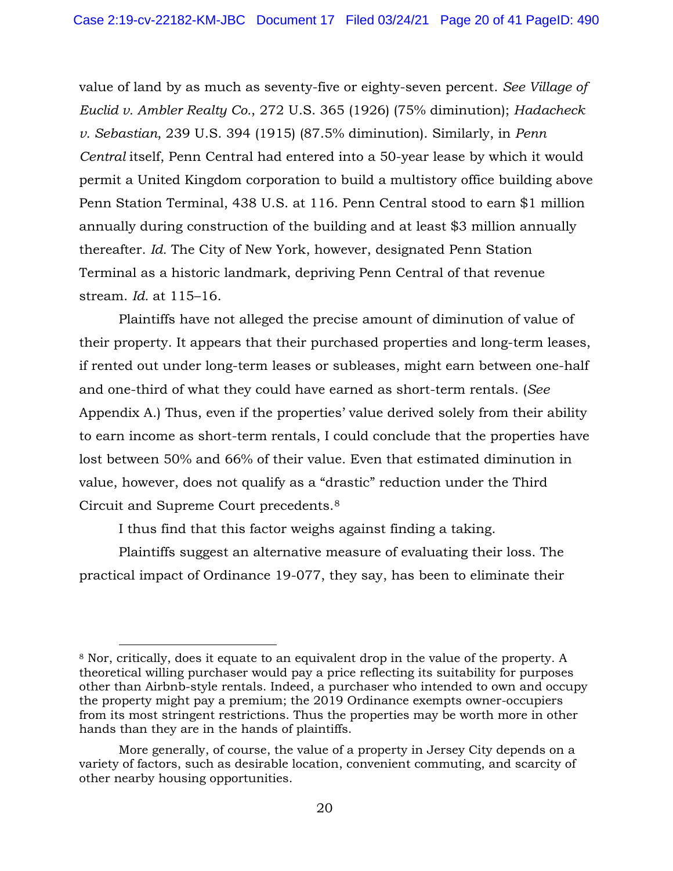value of land by as much as seventy-five or eighty-seven percent. *See Village of Euclid v. Ambler Realty Co.*, 272 U.S. 365 (1926) (75% diminution); *Hadacheck v. Sebastian*, 239 U.S. 394 (1915) (87.5% diminution). Similarly, in *Penn Central* itself, Penn Central had entered into a 50-year lease by which it would permit a United Kingdom corporation to build a multistory office building above Penn Station Terminal, 438 U.S. at 116. Penn Central stood to earn \$1 million annually during construction of the building and at least \$3 million annually thereafter. *Id.* The City of New York, however, designated Penn Station Terminal as a historic landmark, depriving Penn Central of that revenue stream. *Id.* at 115–16.

Plaintiffs have not alleged the precise amount of diminution of value of their property. It appears that their purchased properties and long-term leases, if rented out under long-term leases or subleases, might earn between one-half and one-third of what they could have earned as short-term rentals. (*See*  Appendix A.) Thus, even if the properties' value derived solely from their ability to earn income as short-term rentals, I could conclude that the properties have lost between 50% and 66% of their value. Even that estimated diminution in value, however, does not qualify as a "drastic" reduction under the Third Circuit and Supreme Court precedents.[8](#page-19-0)

I thus find that this factor weighs against finding a taking.

Plaintiffs suggest an alternative measure of evaluating their loss. The practical impact of Ordinance 19-077, they say, has been to eliminate their

<span id="page-19-0"></span><sup>8</sup> Nor, critically, does it equate to an equivalent drop in the value of the property. A theoretical willing purchaser would pay a price reflecting its suitability for purposes other than Airbnb-style rentals. Indeed, a purchaser who intended to own and occupy the property might pay a premium; the 2019 Ordinance exempts owner-occupiers from its most stringent restrictions. Thus the properties may be worth more in other hands than they are in the hands of plaintiffs.

More generally, of course, the value of a property in Jersey City depends on a variety of factors, such as desirable location, convenient commuting, and scarcity of other nearby housing opportunities.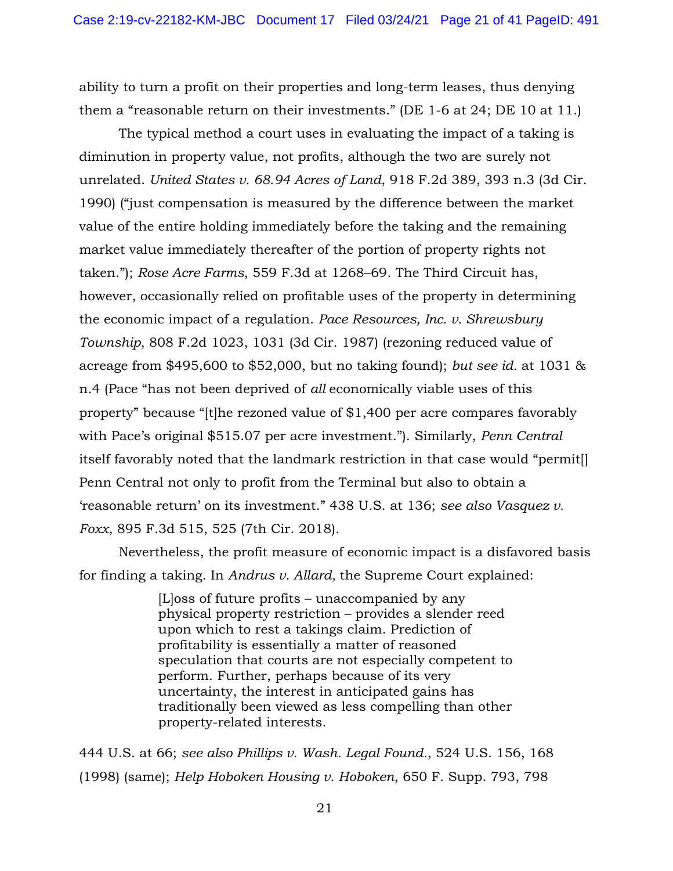ability to turn a profit on their properties and long-term leases, thus denying them a "reasonable return on their investments." (DE 1-6 at 24; DE 10 at 11.)

The typical method a court uses in evaluating the impact of a taking is diminution in property value, not profits, although the two are surely not unrelated. *United States v. 68.94 Acres of Land*, 918 F.2d 389, 393 n.3 (3d Cir. 1990) ("just compensation is measured by the difference between the market value of the entire holding immediately before the taking and the remaining market value immediately thereafter of the portion of property rights not taken."); *Rose Acre Farms*, 559 F.3d at 1268–69. The Third Circuit has, however, occasionally relied on profitable uses of the property in determining the economic impact of a regulation. *Pace Resources, Inc. v. Shrewsbury Township*, 808 F.2d 1023, 1031 (3d Cir. 1987) (rezoning reduced value of acreage from \$495,600 to \$52,000, but no taking found); *but see id.* at 1031 & n.4 (Pace "has not been deprived of *all* economically viable uses of this property" because "[t]he rezoned value of \$1,400 per acre compares favorably with Pace's original \$515.07 per acre investment."). Similarly, *Penn Central*  itself favorably noted that the landmark restriction in that case would "permit[] Penn Central not only to profit from the Terminal but also to obtain a 'reasonable return' on its investment." 438 U.S. at 136; *see also Vasquez v. Foxx*, 895 F.3d 515, 525 (7th Cir. 2018).

Nevertheless, the profit measure of economic impact is a disfavored basis for finding a taking. In *Andrus v. Allard,* the Supreme Court explained:

> [L]oss of future profits – unaccompanied by any physical property restriction – provides a slender reed upon which to rest a takings claim. Prediction of profitability is essentially a matter of reasoned speculation that courts are not especially competent to perform. Further, perhaps because of its very uncertainty, the interest in anticipated gains has traditionally been viewed as less compelling than other property-related interests.

444 U.S. at 66; *see also Phillips v. Wash. Legal Found.*, 524 U.S. 156, 168 (1998) (same); *Help Hoboken Housing v. Hoboken*, 650 F. Supp. 793, 798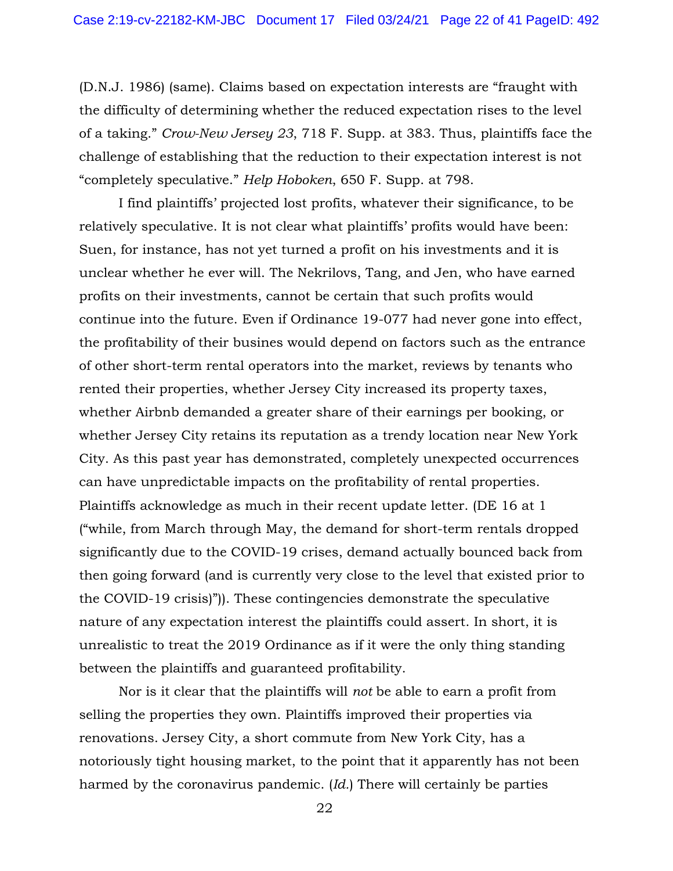(D.N.J. 1986) (same). Claims based on expectation interests are "fraught with the difficulty of determining whether the reduced expectation rises to the level of a taking." *Crow-New Jersey 23*, 718 F. Supp. at 383. Thus, plaintiffs face the challenge of establishing that the reduction to their expectation interest is not "completely speculative." *Help Hoboken*, 650 F. Supp. at 798.

 I find plaintiffs' projected lost profits, whatever their significance, to be relatively speculative. It is not clear what plaintiffs' profits would have been: Suen, for instance, has not yet turned a profit on his investments and it is unclear whether he ever will. The Nekrilovs, Tang, and Jen, who have earned profits on their investments, cannot be certain that such profits would continue into the future. Even if Ordinance 19-077 had never gone into effect, the profitability of their busines would depend on factors such as the entrance of other short-term rental operators into the market, reviews by tenants who rented their properties, whether Jersey City increased its property taxes, whether Airbnb demanded a greater share of their earnings per booking, or whether Jersey City retains its reputation as a trendy location near New York City. As this past year has demonstrated, completely unexpected occurrences can have unpredictable impacts on the profitability of rental properties. Plaintiffs acknowledge as much in their recent update letter. (DE 16 at 1 ("while, from March through May, the demand for short-term rentals dropped significantly due to the COVID-19 crises, demand actually bounced back from then going forward (and is currently very close to the level that existed prior to the COVID-19 crisis)")). These contingencies demonstrate the speculative nature of any expectation interest the plaintiffs could assert. In short, it is unrealistic to treat the 2019 Ordinance as if it were the only thing standing between the plaintiffs and guaranteed profitability.

 Nor is it clear that the plaintiffs will *not* be able to earn a profit from selling the properties they own. Plaintiffs improved their properties via renovations. Jersey City, a short commute from New York City, has a notoriously tight housing market, to the point that it apparently has not been harmed by the coronavirus pandemic. (*Id.*) There will certainly be parties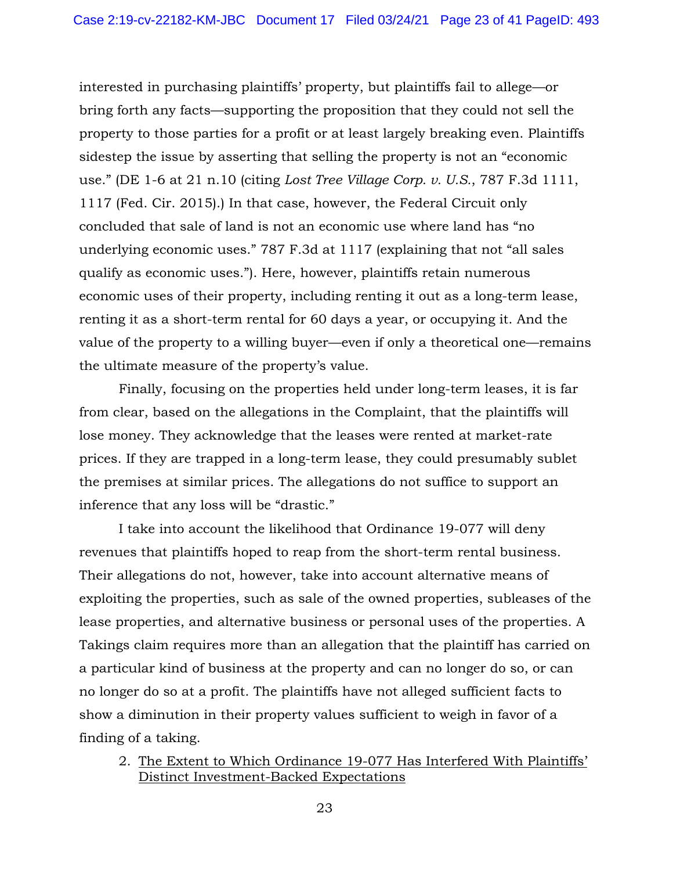interested in purchasing plaintiffs' property, but plaintiffs fail to allege—or bring forth any facts—supporting the proposition that they could not sell the property to those parties for a profit or at least largely breaking even. Plaintiffs sidestep the issue by asserting that selling the property is not an "economic use." (DE 1-6 at 21 n.10 (citing *Lost Tree Village Corp. v. U.S.*, 787 F.3d 1111, 1117 (Fed. Cir. 2015).) In that case, however, the Federal Circuit only concluded that sale of land is not an economic use where land has "no underlying economic uses." 787 F.3d at 1117 (explaining that not "all sales qualify as economic uses."). Here, however, plaintiffs retain numerous economic uses of their property, including renting it out as a long-term lease, renting it as a short-term rental for 60 days a year, or occupying it. And the value of the property to a willing buyer—even if only a theoretical one—remains the ultimate measure of the property's value.

Finally, focusing on the properties held under long-term leases, it is far from clear, based on the allegations in the Complaint, that the plaintiffs will lose money. They acknowledge that the leases were rented at market-rate prices. If they are trapped in a long-term lease, they could presumably sublet the premises at similar prices. The allegations do not suffice to support an inference that any loss will be "drastic."

I take into account the likelihood that Ordinance 19-077 will deny revenues that plaintiffs hoped to reap from the short-term rental business. Their allegations do not, however, take into account alternative means of exploiting the properties, such as sale of the owned properties, subleases of the lease properties, and alternative business or personal uses of the properties. A Takings claim requires more than an allegation that the plaintiff has carried on a particular kind of business at the property and can no longer do so, or can no longer do so at a profit. The plaintiffs have not alleged sufficient facts to show a diminution in their property values sufficient to weigh in favor of a finding of a taking.

2. The Extent to Which Ordinance 19-077 Has Interfered With Plaintiffs' Distinct Investment-Backed Expectations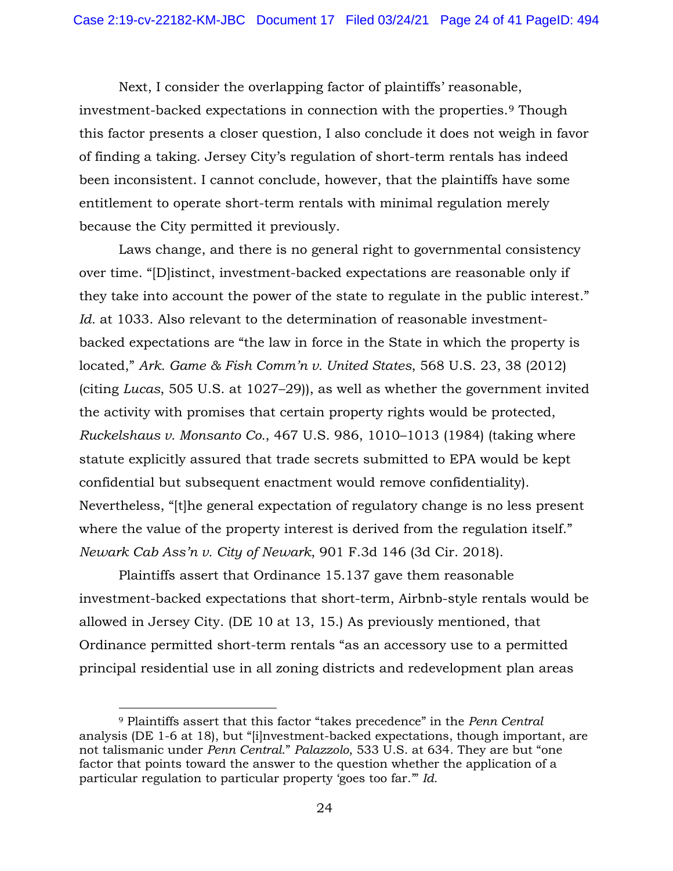Next, I consider the overlapping factor of plaintiffs' reasonable, investment-backed expectations in connection with the properties.[9](#page-23-0) Though this factor presents a closer question, I also conclude it does not weigh in favor of finding a taking. Jersey City's regulation of short-term rentals has indeed been inconsistent. I cannot conclude, however, that the plaintiffs have some entitlement to operate short-term rentals with minimal regulation merely because the City permitted it previously.

Laws change, and there is no general right to governmental consistency over time. "[D]istinct, investment-backed expectations are reasonable only if they take into account the power of the state to regulate in the public interest." *Id.* at 1033. Also relevant to the determination of reasonable investmentbacked expectations are "the law in force in the State in which the property is located," *Ark. Game & Fish Comm'n v. United States*, 568 U.S. 23, 38 (2012) (citing *Lucas*, 505 U.S. at 1027–29)), as well as whether the government invited the activity with promises that certain property rights would be protected, *Ruckelshaus v. Monsanto Co.*, 467 U.S. 986, 1010–1013 (1984) (taking where statute explicitly assured that trade secrets submitted to EPA would be kept confidential but subsequent enactment would remove confidentiality). Nevertheless, "[t]he general expectation of regulatory change is no less present where the value of the property interest is derived from the regulation itself." *Newark Cab Ass'n v. City of Newark*, 901 F.3d 146 (3d Cir. 2018).

Plaintiffs assert that Ordinance 15.137 gave them reasonable investment-backed expectations that short-term, Airbnb-style rentals would be allowed in Jersey City. (DE 10 at 13, 15.) As previously mentioned, that Ordinance permitted short-term rentals "as an accessory use to a permitted principal residential use in all zoning districts and redevelopment plan areas

<span id="page-23-0"></span><sup>9</sup> Plaintiffs assert that this factor "takes precedence" in the *Penn Central*  analysis (DE 1-6 at 18), but "[i]nvestment-backed expectations, though important, are not talismanic under *Penn Central*." *Palazzolo*, 533 U.S. at 634. They are but "one factor that points toward the answer to the question whether the application of a particular regulation to particular property 'goes too far.'" *Id.*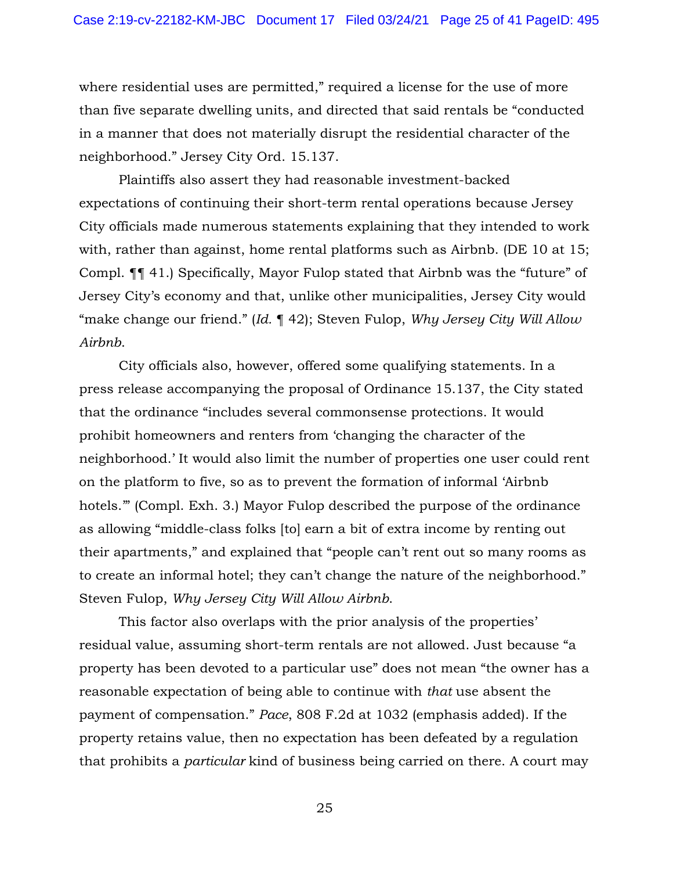where residential uses are permitted," required a license for the use of more than five separate dwelling units, and directed that said rentals be "conducted in a manner that does not materially disrupt the residential character of the neighborhood." Jersey City Ord. 15.137.

Plaintiffs also assert they had reasonable investment-backed expectations of continuing their short-term rental operations because Jersey City officials made numerous statements explaining that they intended to work with, rather than against, home rental platforms such as Airbnb. (DE 10 at 15; Compl. ¶¶ 41.) Specifically, Mayor Fulop stated that Airbnb was the "future" of Jersey City's economy and that, unlike other municipalities, Jersey City would "make change our friend." (*Id.* ¶ 42); Steven Fulop, *Why Jersey City Will Allow Airbnb*.

City officials also, however, offered some qualifying statements. In a press release accompanying the proposal of Ordinance 15.137, the City stated that the ordinance "includes several commonsense protections. It would prohibit homeowners and renters from 'changing the character of the neighborhood.' It would also limit the number of properties one user could rent on the platform to five, so as to prevent the formation of informal 'Airbnb hotels.'" (Compl. Exh. 3.) Mayor Fulop described the purpose of the ordinance as allowing "middle-class folks [to] earn a bit of extra income by renting out their apartments," and explained that "people can't rent out so many rooms as to create an informal hotel; they can't change the nature of the neighborhood." Steven Fulop, *Why Jersey City Will Allow Airbnb*.

This factor also overlaps with the prior analysis of the properties' residual value, assuming short-term rentals are not allowed. Just because "a property has been devoted to a particular use" does not mean "the owner has a reasonable expectation of being able to continue with *that* use absent the payment of compensation." *Pace*, 808 F.2d at 1032 (emphasis added). If the property retains value, then no expectation has been defeated by a regulation that prohibits a *particular* kind of business being carried on there. A court may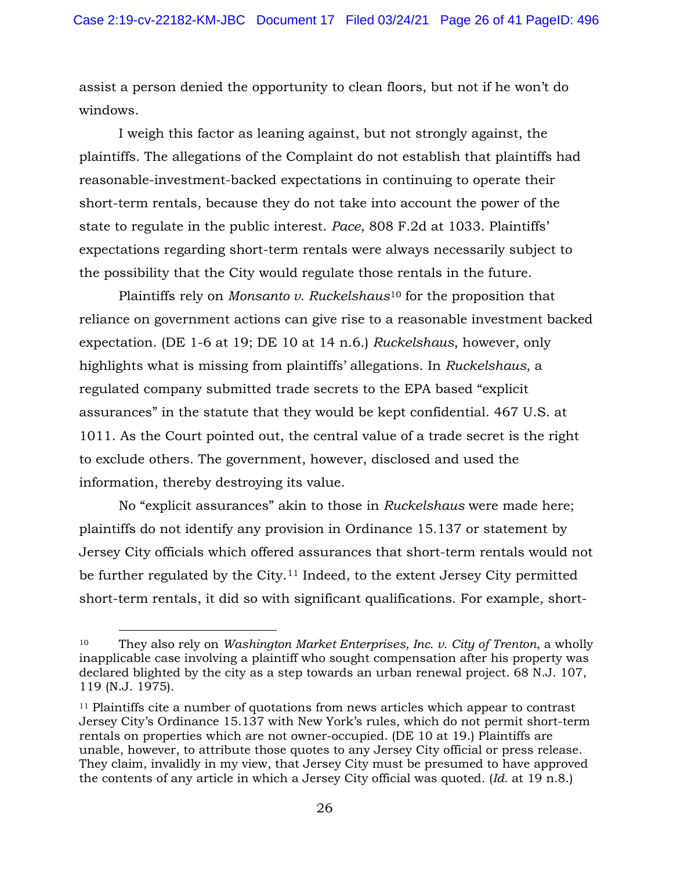assist a person denied the opportunity to clean floors, but not if he won't do windows.

I weigh this factor as leaning against, but not strongly against, the plaintiffs. The allegations of the Complaint do not establish that plaintiffs had reasonable-investment-backed expectations in continuing to operate their short-term rentals, because they do not take into account the power of the state to regulate in the public interest. *Pace*, 808 F.2d at 1033. Plaintiffs' expectations regarding short-term rentals were always necessarily subject to the possibility that the City would regulate those rentals in the future.

Plaintiffs rely on *Monsanto v. Ruckelshaus*[10](#page-25-0) for the proposition that reliance on government actions can give rise to a reasonable investment backed expectation. (DE 1-6 at 19; DE 10 at 14 n.6.) *Ruckelshaus*, however, only highlights what is missing from plaintiffs' allegations. In *Ruckelshaus*, a regulated company submitted trade secrets to the EPA based "explicit assurances" in the statute that they would be kept confidential. 467 U.S. at 1011. As the Court pointed out, the central value of a trade secret is the right to exclude others. The government, however, disclosed and used the information, thereby destroying its value.

No "explicit assurances" akin to those in *Ruckelshaus* were made here; plaintiffs do not identify any provision in Ordinance 15.137 or statement by Jersey City officials which offered assurances that short-term rentals would not be further regulated by the City.[11](#page-25-1) Indeed, to the extent Jersey City permitted short-term rentals, it did so with significant qualifications. For example, short-

<span id="page-25-0"></span><sup>10</sup> They also rely on *Washington Market Enterprises, Inc. v. City of Trenton*, a wholly inapplicable case involving a plaintiff who sought compensation after his property was declared blighted by the city as a step towards an urban renewal project. 68 N.J. 107, 119 (N.J. 1975).

<span id="page-25-1"></span><sup>&</sup>lt;sup>11</sup> Plaintiffs cite a number of quotations from news articles which appear to contrast Jersey City's Ordinance 15.137 with New York's rules, which do not permit short-term rentals on properties which are not owner-occupied. (DE 10 at 19.) Plaintiffs are unable, however, to attribute those quotes to any Jersey City official or press release. They claim, invalidly in my view, that Jersey City must be presumed to have approved the contents of any article in which a Jersey City official was quoted. (*Id.* at 19 n.8.)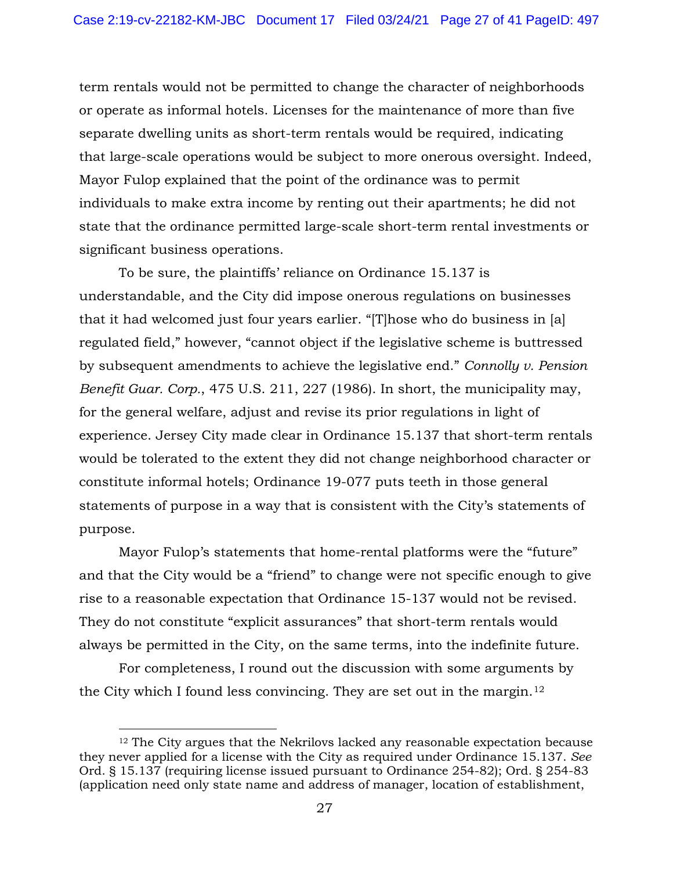term rentals would not be permitted to change the character of neighborhoods or operate as informal hotels. Licenses for the maintenance of more than five separate dwelling units as short-term rentals would be required, indicating that large-scale operations would be subject to more onerous oversight. Indeed, Mayor Fulop explained that the point of the ordinance was to permit individuals to make extra income by renting out their apartments; he did not state that the ordinance permitted large-scale short-term rental investments or significant business operations.

To be sure, the plaintiffs' reliance on Ordinance 15.137 is understandable, and the City did impose onerous regulations on businesses that it had welcomed just four years earlier. "[T]hose who do business in [a] regulated field," however, "cannot object if the legislative scheme is buttressed by subsequent amendments to achieve the legislative end." *Connolly v. Pension Benefit Guar. Corp.*, 475 U.S. 211, 227 (1986). In short, the municipality may, for the general welfare, adjust and revise its prior regulations in light of experience. Jersey City made clear in Ordinance 15.137 that short-term rentals would be tolerated to the extent they did not change neighborhood character or constitute informal hotels; Ordinance 19-077 puts teeth in those general statements of purpose in a way that is consistent with the City's statements of purpose.

Mayor Fulop's statements that home-rental platforms were the "future" and that the City would be a "friend" to change were not specific enough to give rise to a reasonable expectation that Ordinance 15-137 would not be revised. They do not constitute "explicit assurances" that short-term rentals would always be permitted in the City, on the same terms, into the indefinite future.

For completeness, I round out the discussion with some arguments by the City which I found less convincing. They are set out in the margin.[12](#page-26-0)

<span id="page-26-0"></span><sup>12</sup> The City argues that the Nekrilovs lacked any reasonable expectation because they never applied for a license with the City as required under Ordinance 15.137. *See*  Ord. § 15.137 (requiring license issued pursuant to Ordinance 254-82); Ord. § 254-83 (application need only state name and address of manager, location of establishment,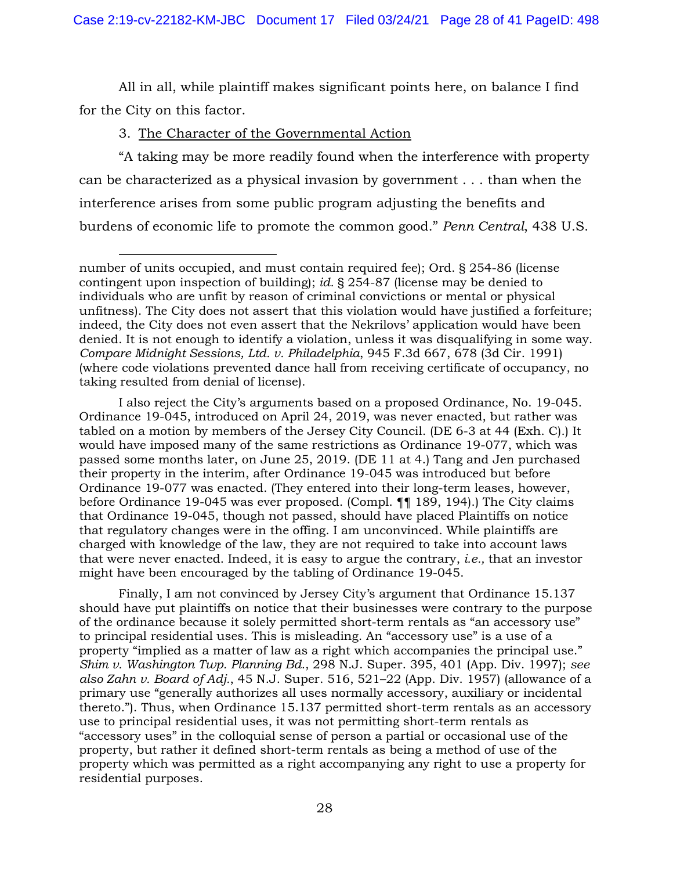All in all, while plaintiff makes significant points here, on balance I find for the City on this factor.

## 3. The Character of the Governmental Action

"A taking may be more readily found when the interference with property can be characterized as a physical invasion by government . . . than when the interference arises from some public program adjusting the benefits and burdens of economic life to promote the common good." *Penn Central*, 438 U.S.

I also reject the City's arguments based on a proposed Ordinance, No. 19-045. Ordinance 19-045, introduced on April 24, 2019, was never enacted, but rather was tabled on a motion by members of the Jersey City Council. (DE 6-3 at 44 (Exh. C).) It would have imposed many of the same restrictions as Ordinance 19-077, which was passed some months later, on June 25, 2019. (DE 11 at 4.) Tang and Jen purchased their property in the interim, after Ordinance 19-045 was introduced but before Ordinance 19-077 was enacted. (They entered into their long-term leases, however, before Ordinance 19-045 was ever proposed. (Compl. ¶¶ 189, 194).) The City claims that Ordinance 19-045, though not passed, should have placed Plaintiffs on notice that regulatory changes were in the offing. I am unconvinced. While plaintiffs are charged with knowledge of the law, they are not required to take into account laws that were never enacted. Indeed, it is easy to argue the contrary, *i.e.,* that an investor might have been encouraged by the tabling of Ordinance 19-045.

Finally, I am not convinced by Jersey City's argument that Ordinance 15.137 should have put plaintiffs on notice that their businesses were contrary to the purpose of the ordinance because it solely permitted short-term rentals as "an accessory use" to principal residential uses. This is misleading. An "accessory use" is a use of a property "implied as a matter of law as a right which accompanies the principal use." *Shim v. Washington Twp. Planning Bd.*, 298 N.J. Super. 395, 401 (App. Div. 1997); *see also Zahn v. Board of Adj.*, 45 N.J. Super. 516, 521–22 (App. Div. 1957) (allowance of a primary use "generally authorizes all uses normally accessory, auxiliary or incidental thereto."). Thus, when Ordinance 15.137 permitted short-term rentals as an accessory use to principal residential uses, it was not permitting short-term rentals as "accessory uses" in the colloquial sense of person a partial or occasional use of the property, but rather it defined short-term rentals as being a method of use of the property which was permitted as a right accompanying any right to use a property for residential purposes.

number of units occupied, and must contain required fee); Ord. § 254-86 (license contingent upon inspection of building); *id.* § 254-87 (license may be denied to individuals who are unfit by reason of criminal convictions or mental or physical unfitness). The City does not assert that this violation would have justified a forfeiture; indeed, the City does not even assert that the Nekrilovs' application would have been denied. It is not enough to identify a violation, unless it was disqualifying in some way. *Compare Midnight Sessions, Ltd. v. Philadelphia*, 945 F.3d 667, 678 (3d Cir. 1991) (where code violations prevented dance hall from receiving certificate of occupancy, no taking resulted from denial of license).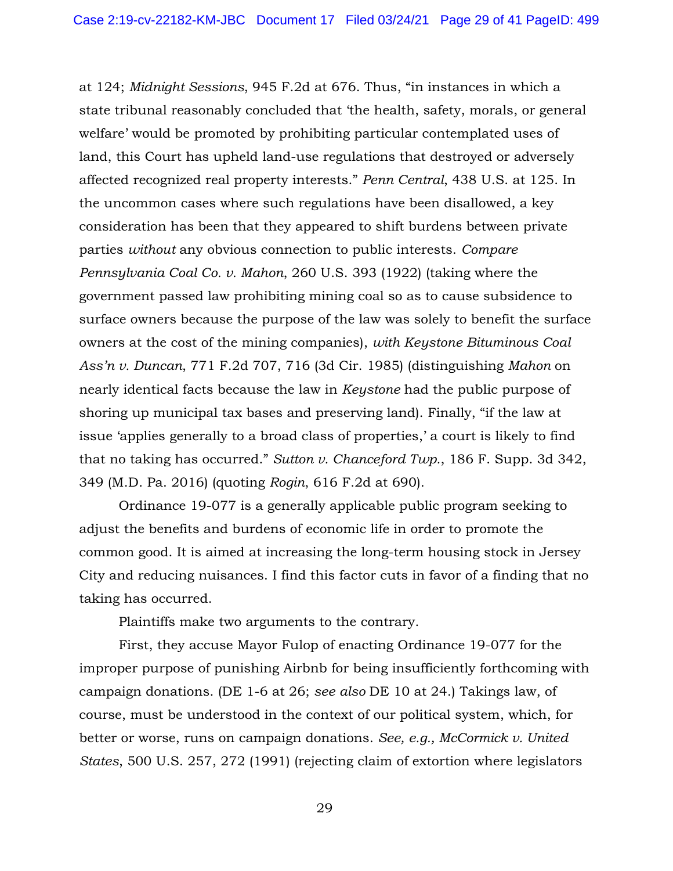at 124; *Midnight Sessions*, 945 F.2d at 676. Thus, "in instances in which a state tribunal reasonably concluded that 'the health, safety, morals, or general welfare' would be promoted by prohibiting particular contemplated uses of land, this Court has upheld land-use regulations that destroyed or adversely affected recognized real property interests." *Penn Central*, 438 U.S. at 125. In the uncommon cases where such regulations have been disallowed, a key consideration has been that they appeared to shift burdens between private parties *without* any obvious connection to public interests. *Compare Pennsylvania Coal Co. v. Mahon*, 260 U.S. 393 (1922) (taking where the government passed law prohibiting mining coal so as to cause subsidence to surface owners because the purpose of the law was solely to benefit the surface owners at the cost of the mining companies), *with Keystone Bituminous Coal Ass'n v. Duncan*, 771 F.2d 707, 716 (3d Cir. 1985) (distinguishing *Mahon* on nearly identical facts because the law in *Keystone* had the public purpose of shoring up municipal tax bases and preserving land). Finally, "if the law at issue 'applies generally to a broad class of properties,' a court is likely to find that no taking has occurred." *Sutton v. Chanceford Twp.*, 186 F. Supp. 3d 342, 349 (M.D. Pa. 2016) (quoting *Rogin*, 616 F.2d at 690).

Ordinance 19-077 is a generally applicable public program seeking to adjust the benefits and burdens of economic life in order to promote the common good. It is aimed at increasing the long-term housing stock in Jersey City and reducing nuisances. I find this factor cuts in favor of a finding that no taking has occurred.

Plaintiffs make two arguments to the contrary.

First, they accuse Mayor Fulop of enacting Ordinance 19-077 for the improper purpose of punishing Airbnb for being insufficiently forthcoming with campaign donations. (DE 1-6 at 26; *see also* DE 10 at 24.) Takings law, of course, must be understood in the context of our political system, which, for better or worse, runs on campaign donations. *See, e.g., McCormick v. United States*, 500 U.S. 257, 272 (1991) (rejecting claim of extortion where legislators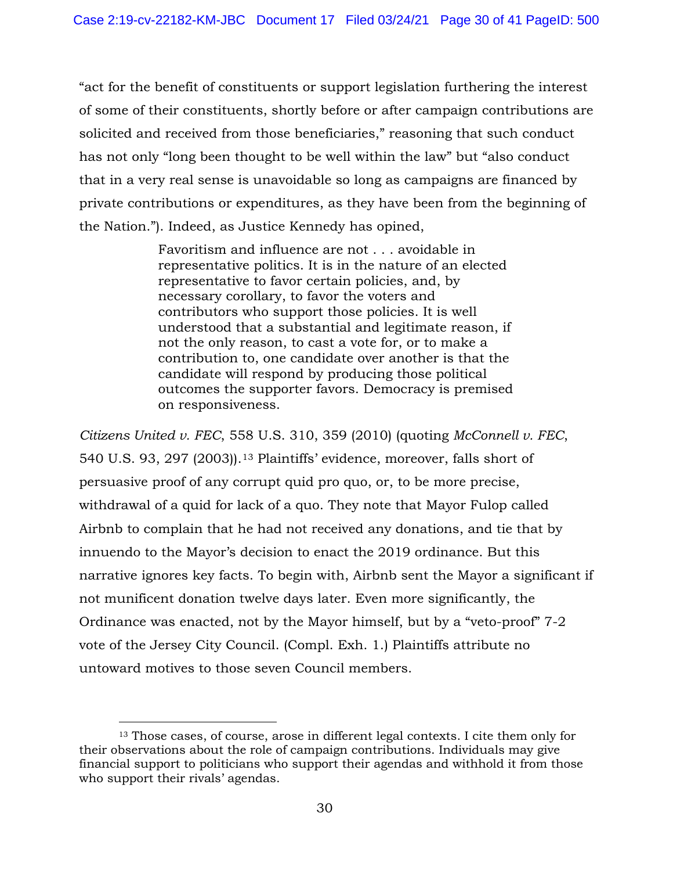"act for the benefit of constituents or support legislation furthering the interest of some of their constituents, shortly before or after campaign contributions are solicited and received from those beneficiaries," reasoning that such conduct has not only "long been thought to be well within the law" but "also conduct that in a very real sense is unavoidable so long as campaigns are financed by private contributions or expenditures, as they have been from the beginning of the Nation."). Indeed, as Justice Kennedy has opined,

> Favoritism and influence are not . . . avoidable in representative politics. It is in the nature of an elected representative to favor certain policies, and, by necessary corollary, to favor the voters and contributors who support those policies. It is well understood that a substantial and legitimate reason, if not the only reason, to cast a vote for, or to make a contribution to, one candidate over another is that the candidate will respond by producing those political outcomes the supporter favors. Democracy is premised on responsiveness.

*Citizens United v. FEC*, 558 U.S. 310, 359 (2010) (quoting *McConnell v. FEC*, 540 U.S. 93, 297 (2003)).[13](#page-29-0) Plaintiffs' evidence, moreover, falls short of persuasive proof of any corrupt quid pro quo, or, to be more precise, withdrawal of a quid for lack of a quo. They note that Mayor Fulop called Airbnb to complain that he had not received any donations, and tie that by innuendo to the Mayor's decision to enact the 2019 ordinance. But this narrative ignores key facts. To begin with, Airbnb sent the Mayor a significant if not munificent donation twelve days later. Even more significantly, the Ordinance was enacted, not by the Mayor himself, but by a "veto-proof" 7-2 vote of the Jersey City Council. (Compl. Exh. 1.) Plaintiffs attribute no untoward motives to those seven Council members.

<span id="page-29-0"></span><sup>13</sup> Those cases, of course, arose in different legal contexts. I cite them only for their observations about the role of campaign contributions. Individuals may give financial support to politicians who support their agendas and withhold it from those who support their rivals' agendas.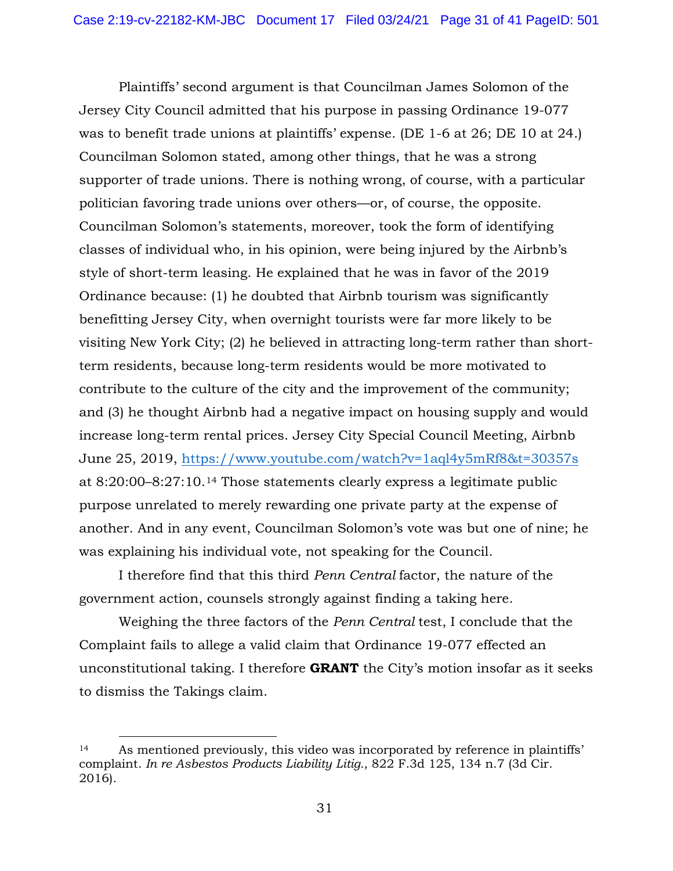Plaintiffs' second argument is that Councilman James Solomon of the Jersey City Council admitted that his purpose in passing Ordinance 19-077 was to benefit trade unions at plaintiffs' expense. (DE 1-6 at 26; DE 10 at 24.) Councilman Solomon stated, among other things, that he was a strong supporter of trade unions. There is nothing wrong, of course, with a particular politician favoring trade unions over others—or, of course, the opposite. Councilman Solomon's statements, moreover, took the form of identifying classes of individual who, in his opinion, were being injured by the Airbnb's style of short-term leasing. He explained that he was in favor of the 2019 Ordinance because: (1) he doubted that Airbnb tourism was significantly benefitting Jersey City, when overnight tourists were far more likely to be visiting New York City; (2) he believed in attracting long-term rather than shortterm residents, because long-term residents would be more motivated to contribute to the culture of the city and the improvement of the community; and (3) he thought Airbnb had a negative impact on housing supply and would increase long-term rental prices. Jersey City Special Council Meeting, Airbnb June 25, 2019,<https://www.youtube.com/watch?v=1aql4y5mRf8&t=30357s> at 8:20:00–8:27:10.[14](#page-30-0) Those statements clearly express a legitimate public purpose unrelated to merely rewarding one private party at the expense of another. And in any event, Councilman Solomon's vote was but one of nine; he was explaining his individual vote, not speaking for the Council.

I therefore find that this third *Penn Central* factor, the nature of the government action, counsels strongly against finding a taking here.

Weighing the three factors of the *Penn Central* test, I conclude that the Complaint fails to allege a valid claim that Ordinance 19-077 effected an unconstitutional taking. I therefore **GRANT** the City's motion insofar as it seeks to dismiss the Takings claim.

<span id="page-30-0"></span><sup>14</sup> As mentioned previously, this video was incorporated by reference in plaintiffs' complaint. *In re Asbestos Products Liability Litig.*, 822 F.3d 125, 134 n.7 (3d Cir. 2016).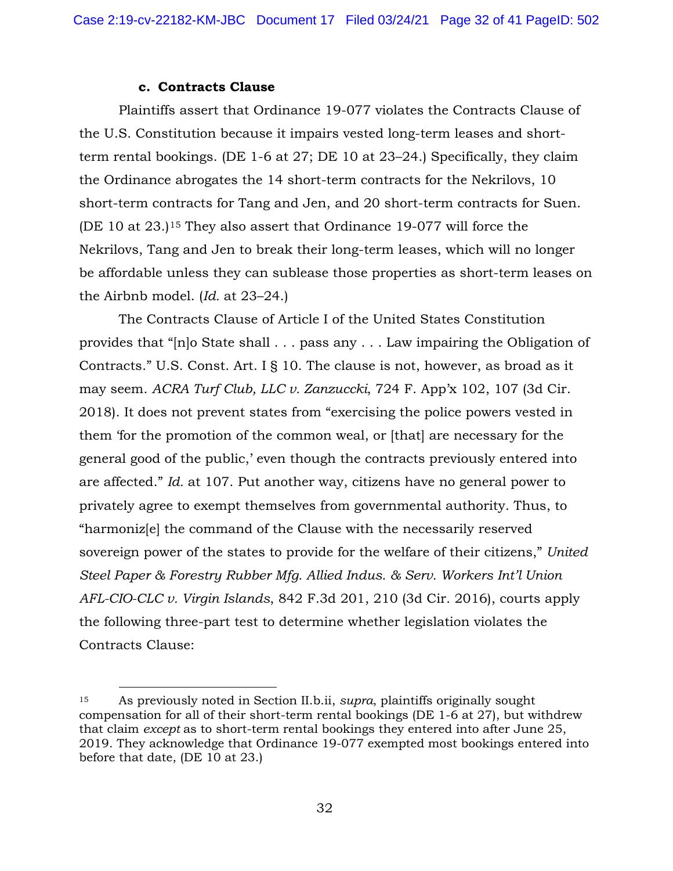#### **c. Contracts Clause**

Plaintiffs assert that Ordinance 19-077 violates the Contracts Clause of the U.S. Constitution because it impairs vested long-term leases and shortterm rental bookings. (DE 1-6 at 27; DE 10 at 23–24.) Specifically, they claim the Ordinance abrogates the 14 short-term contracts for the Nekrilovs, 10 short-term contracts for Tang and Jen, and 20 short-term contracts for Suen. (DE 10 at 23.)[15](#page-31-0) They also assert that Ordinance 19-077 will force the Nekrilovs, Tang and Jen to break their long-term leases, which will no longer be affordable unless they can sublease those properties as short-term leases on the Airbnb model. (*Id.* at 23–24.)

The Contracts Clause of Article I of the United States Constitution provides that "[n]o State shall . . . pass any . . . Law impairing the Obligation of Contracts." U.S. Const. Art. I § 10. The clause is not, however, as broad as it may seem. *ACRA Turf Club, LLC v. Zanzuccki*, 724 F. App'x 102, 107 (3d Cir. 2018). It does not prevent states from "exercising the police powers vested in them 'for the promotion of the common weal, or [that] are necessary for the general good of the public,' even though the contracts previously entered into are affected." *Id.* at 107. Put another way, citizens have no general power to privately agree to exempt themselves from governmental authority. Thus, to "harmoniz[e] the command of the Clause with the necessarily reserved sovereign power of the states to provide for the welfare of their citizens," *United Steel Paper & Forestry Rubber Mfg. Allied Indus. & Serv. Workers Int'l Union AFL-CIO-CLC v. Virgin Islands*, 842 F.3d 201, 210 (3d Cir. 2016), courts apply the following three-part test to determine whether legislation violates the Contracts Clause:

<span id="page-31-0"></span><sup>15</sup> As previously noted in Section II.b.ii, *supra*, plaintiffs originally sought compensation for all of their short-term rental bookings (DE 1-6 at 27), but withdrew that claim *except* as to short-term rental bookings they entered into after June 25, 2019. They acknowledge that Ordinance 19-077 exempted most bookings entered into before that date, (DE 10 at 23.)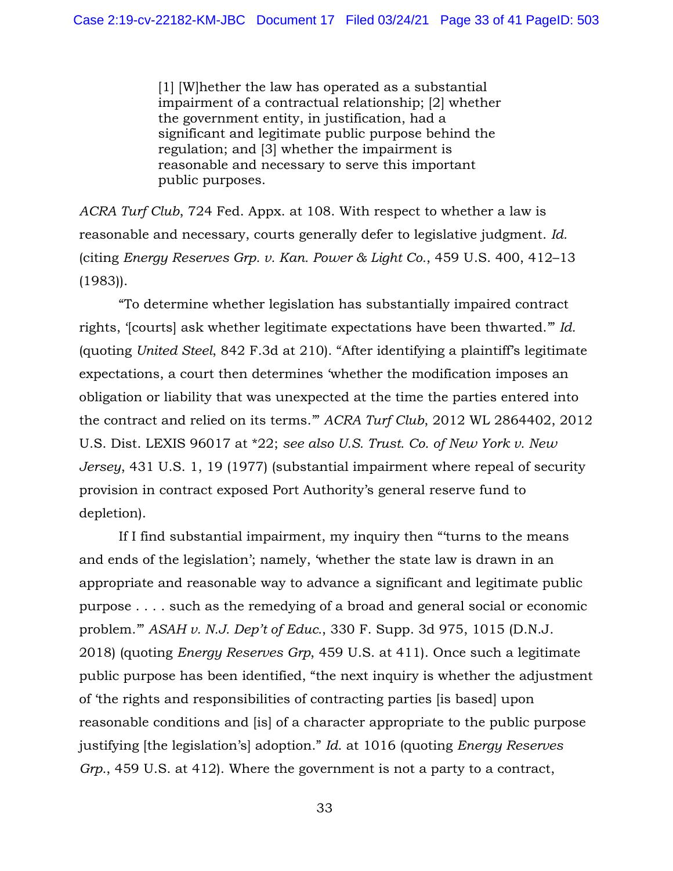[1] [W]hether the law has operated as a substantial impairment of a contractual relationship; [2] whether the government entity, in justification, had a significant and legitimate public purpose behind the regulation; and [3] whether the impairment is reasonable and necessary to serve this important public purposes.

*ACRA Turf Club*, 724 Fed. Appx. at 108. With respect to whether a law is reasonable and necessary, courts generally defer to legislative judgment. *Id.* (citing *Energy Reserves Grp. v. Kan. Power & Light Co.*, 459 U.S. 400, 412–13 (1983)).

 "To determine whether legislation has substantially impaired contract rights, '[courts] ask whether legitimate expectations have been thwarted.'" *Id.* (quoting *United Steel*, 842 F.3d at 210). "After identifying a plaintiff's legitimate expectations, a court then determines 'whether the modification imposes an obligation or liability that was unexpected at the time the parties entered into the contract and relied on its terms.'" *ACRA Turf Club*, 2012 WL 2864402, 2012 U.S. Dist. LEXIS 96017 at \*22; *see also U.S. Trust. Co. of New York v. New Jersey*, 431 U.S. 1, 19 (1977) (substantial impairment where repeal of security provision in contract exposed Port Authority's general reserve fund to depletion).

If I find substantial impairment, my inquiry then "'turns to the means and ends of the legislation'; namely, 'whether the state law is drawn in an appropriate and reasonable way to advance a significant and legitimate public purpose . . . . such as the remedying of a broad and general social or economic problem.'" *ASAH v. N.J. Dep't of Educ.*, 330 F. Supp. 3d 975, 1015 (D.N.J. 2018) (quoting *Energy Reserves Grp*, 459 U.S. at 411). Once such a legitimate public purpose has been identified, "the next inquiry is whether the adjustment of 'the rights and responsibilities of contracting parties [is based] upon reasonable conditions and [is] of a character appropriate to the public purpose justifying [the legislation's] adoption." *Id.* at 1016 (quoting *Energy Reserves Grp.*, 459 U.S. at 412). Where the government is not a party to a contract,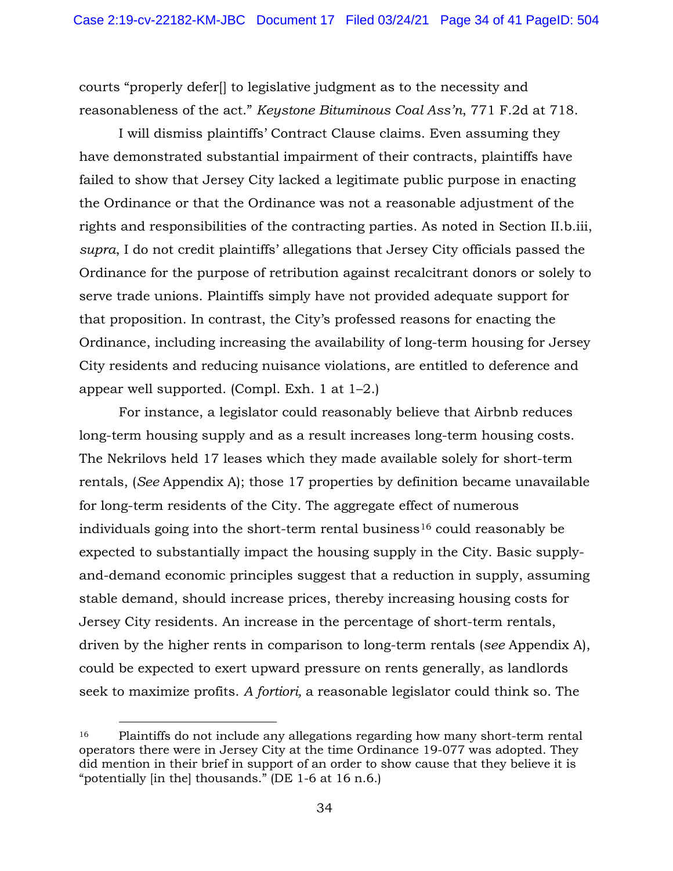courts "properly defer[] to legislative judgment as to the necessity and reasonableness of the act." *Keystone Bituminous Coal Ass'n*, 771 F.2d at 718.

I will dismiss plaintiffs' Contract Clause claims. Even assuming they have demonstrated substantial impairment of their contracts, plaintiffs have failed to show that Jersey City lacked a legitimate public purpose in enacting the Ordinance or that the Ordinance was not a reasonable adjustment of the rights and responsibilities of the contracting parties. As noted in Section II.b.iii, *supra*, I do not credit plaintiffs' allegations that Jersey City officials passed the Ordinance for the purpose of retribution against recalcitrant donors or solely to serve trade unions. Plaintiffs simply have not provided adequate support for that proposition. In contrast, the City's professed reasons for enacting the Ordinance, including increasing the availability of long-term housing for Jersey City residents and reducing nuisance violations, are entitled to deference and appear well supported. (Compl. Exh. 1 at 1–2.)

For instance, a legislator could reasonably believe that Airbnb reduces long-term housing supply and as a result increases long-term housing costs. The Nekrilovs held 17 leases which they made available solely for short-term rentals, (*See* Appendix A); those 17 properties by definition became unavailable for long-term residents of the City. The aggregate effect of numerous individuals going into the short-term rental business<sup>[16](#page-33-0)</sup> could reasonably be expected to substantially impact the housing supply in the City. Basic supplyand-demand economic principles suggest that a reduction in supply, assuming stable demand, should increase prices, thereby increasing housing costs for Jersey City residents. An increase in the percentage of short-term rentals, driven by the higher rents in comparison to long-term rentals (*see* Appendix A), could be expected to exert upward pressure on rents generally, as landlords seek to maximize profits. *A fortiori,* a reasonable legislator could think so. The

<span id="page-33-0"></span><sup>&</sup>lt;sup>16</sup> Plaintiffs do not include any allegations regarding how many short-term rental operators there were in Jersey City at the time Ordinance 19-077 was adopted. They did mention in their brief in support of an order to show cause that they believe it is "potentially [in the] thousands." (DE 1-6 at 16 n.6.)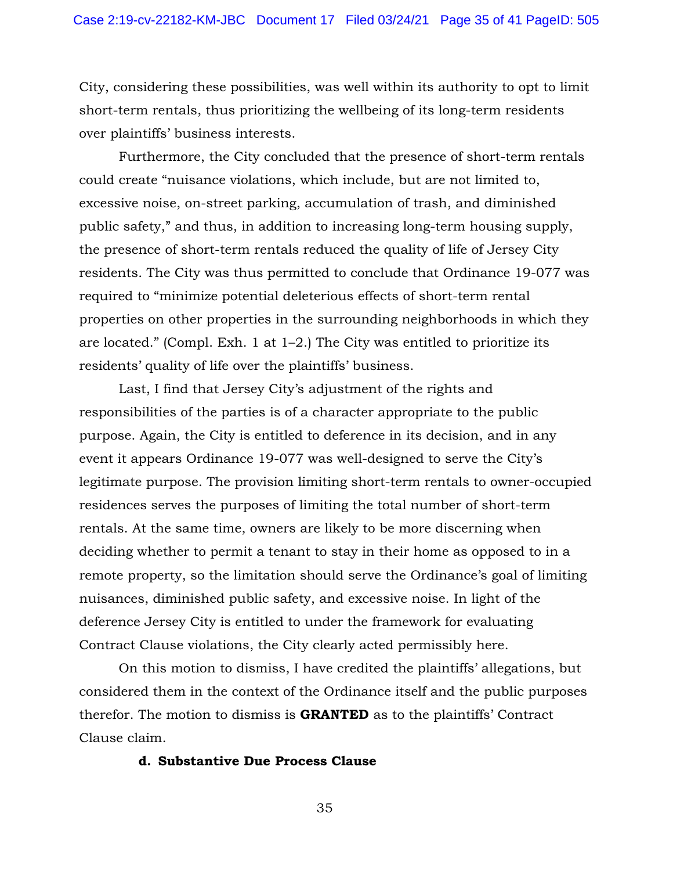City, considering these possibilities, was well within its authority to opt to limit short-term rentals, thus prioritizing the wellbeing of its long-term residents over plaintiffs' business interests.

Furthermore, the City concluded that the presence of short-term rentals could create "nuisance violations, which include, but are not limited to, excessive noise, on-street parking, accumulation of trash, and diminished public safety," and thus, in addition to increasing long-term housing supply, the presence of short-term rentals reduced the quality of life of Jersey City residents. The City was thus permitted to conclude that Ordinance 19-077 was required to "minimize potential deleterious effects of short-term rental properties on other properties in the surrounding neighborhoods in which they are located." (Compl. Exh. 1 at 1–2.) The City was entitled to prioritize its residents' quality of life over the plaintiffs' business.

Last, I find that Jersey City's adjustment of the rights and responsibilities of the parties is of a character appropriate to the public purpose. Again, the City is entitled to deference in its decision, and in any event it appears Ordinance 19-077 was well-designed to serve the City's legitimate purpose. The provision limiting short-term rentals to owner-occupied residences serves the purposes of limiting the total number of short-term rentals. At the same time, owners are likely to be more discerning when deciding whether to permit a tenant to stay in their home as opposed to in a remote property, so the limitation should serve the Ordinance's goal of limiting nuisances, diminished public safety, and excessive noise. In light of the deference Jersey City is entitled to under the framework for evaluating Contract Clause violations, the City clearly acted permissibly here.

On this motion to dismiss, I have credited the plaintiffs' allegations, but considered them in the context of the Ordinance itself and the public purposes therefor. The motion to dismiss is **GRANTED** as to the plaintiffs' Contract Clause claim.

#### **d. Substantive Due Process Clause**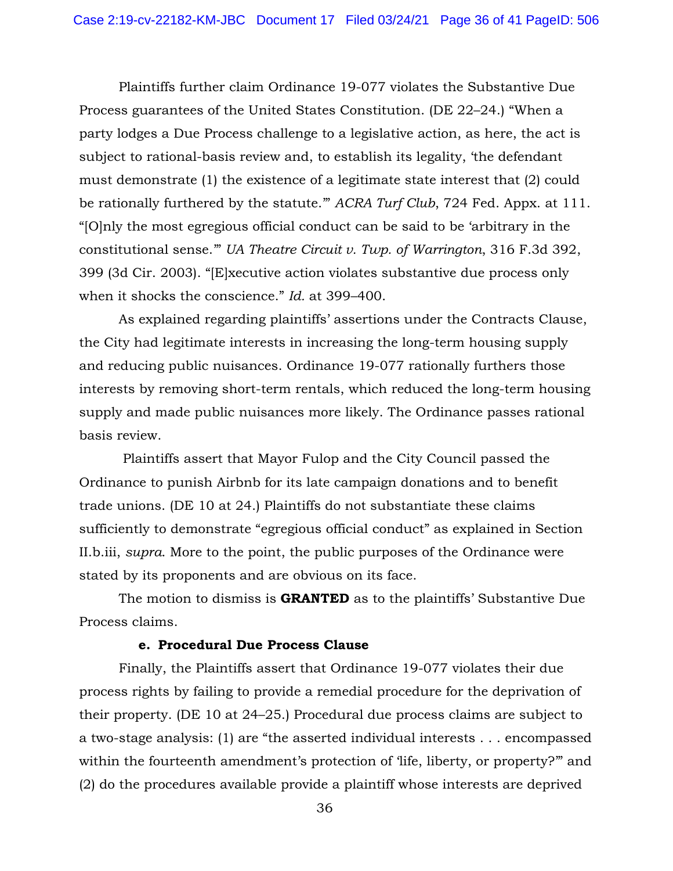Plaintiffs further claim Ordinance 19-077 violates the Substantive Due Process guarantees of the United States Constitution. (DE 22–24.) "When a party lodges a Due Process challenge to a legislative action, as here, the act is subject to rational-basis review and, to establish its legality, 'the defendant must demonstrate (1) the existence of a legitimate state interest that (2) could be rationally furthered by the statute.'" *ACRA Turf Club*, 724 Fed. Appx. at 111. "[O]nly the most egregious official conduct can be said to be 'arbitrary in the constitutional sense.'" *UA Theatre Circuit v. Twp. of Warrington*, 316 F.3d 392, 399 (3d Cir. 2003). "[E]xecutive action violates substantive due process only when it shocks the conscience." *Id.* at 399–400.

As explained regarding plaintiffs' assertions under the Contracts Clause, the City had legitimate interests in increasing the long-term housing supply and reducing public nuisances. Ordinance 19-077 rationally furthers those interests by removing short-term rentals, which reduced the long-term housing supply and made public nuisances more likely. The Ordinance passes rational basis review.

 Plaintiffs assert that Mayor Fulop and the City Council passed the Ordinance to punish Airbnb for its late campaign donations and to benefit trade unions. (DE 10 at 24.) Plaintiffs do not substantiate these claims sufficiently to demonstrate "egregious official conduct" as explained in Section II.b.iii, *supra*. More to the point, the public purposes of the Ordinance were stated by its proponents and are obvious on its face.

The motion to dismiss is **GRANTED** as to the plaintiffs' Substantive Due Process claims.

#### **e. Procedural Due Process Clause**

Finally, the Plaintiffs assert that Ordinance 19-077 violates their due process rights by failing to provide a remedial procedure for the deprivation of their property. (DE 10 at 24–25.) Procedural due process claims are subject to a two-stage analysis: (1) are "the asserted individual interests . . . encompassed within the fourteenth amendment's protection of 'life, liberty, or property?'" and (2) do the procedures available provide a plaintiff whose interests are deprived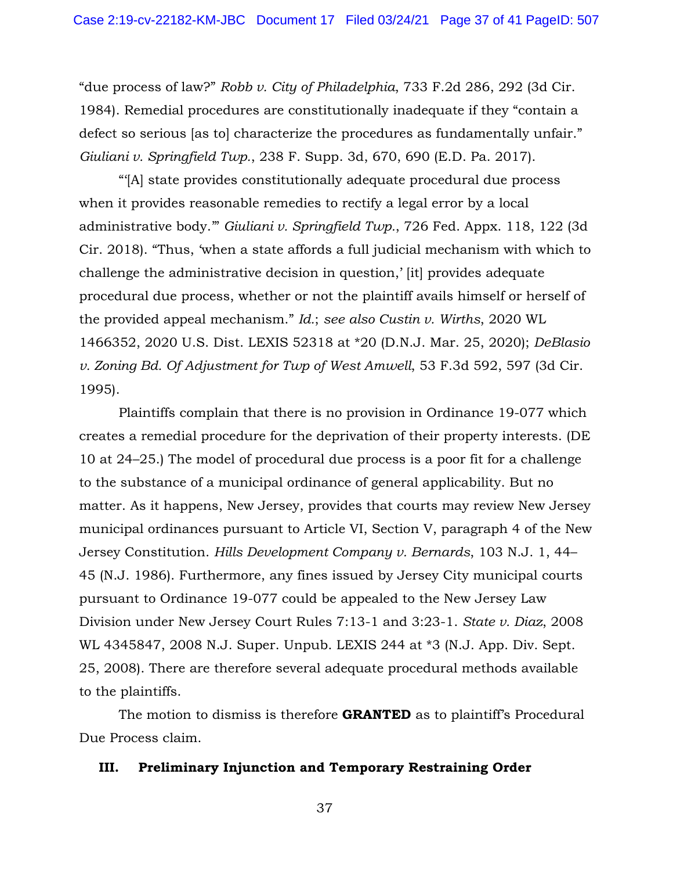"due process of law?" *Robb v. City of Philadelphia*, 733 F.2d 286, 292 (3d Cir. 1984). Remedial procedures are constitutionally inadequate if they "contain a defect so serious [as to] characterize the procedures as fundamentally unfair." *Giuliani v. Springfield Twp.*, 238 F. Supp. 3d, 670, 690 (E.D. Pa. 2017).

"'[A] state provides constitutionally adequate procedural due process when it provides reasonable remedies to rectify a legal error by a local administrative body.'" *Giuliani v. Springfield Twp.*, 726 Fed. Appx. 118, 122 (3d Cir. 2018). "Thus, 'when a state affords a full judicial mechanism with which to challenge the administrative decision in question,' [it] provides adequate procedural due process, whether or not the plaintiff avails himself or herself of the provided appeal mechanism." *Id.*; *see also Custin v. Wirths*, 2020 WL 1466352, 2020 U.S. Dist. LEXIS 52318 at \*20 (D.N.J. Mar. 25, 2020); *DeBlasio v. Zoning Bd. Of Adjustment for Twp of West Amwell*, 53 F.3d 592, 597 (3d Cir. 1995).

Plaintiffs complain that there is no provision in Ordinance 19-077 which creates a remedial procedure for the deprivation of their property interests. (DE 10 at 24–25.) The model of procedural due process is a poor fit for a challenge to the substance of a municipal ordinance of general applicability. But no matter. As it happens, New Jersey, provides that courts may review New Jersey municipal ordinances pursuant to Article VI, Section V, paragraph 4 of the New Jersey Constitution. *Hills Development Company v. Bernards*, 103 N.J. 1, 44– 45 (N.J. 1986). Furthermore, any fines issued by Jersey City municipal courts pursuant to Ordinance 19-077 could be appealed to the New Jersey Law Division under New Jersey Court Rules 7:13-1 and 3:23-1. *State v. Diaz*, 2008 WL 4345847, 2008 N.J. Super. Unpub. LEXIS 244 at \*3 (N.J. App. Div. Sept. 25, 2008). There are therefore several adequate procedural methods available to the plaintiffs.

The motion to dismiss is therefore **GRANTED** as to plaintiff's Procedural Due Process claim.

#### **III. Preliminary Injunction and Temporary Restraining Order**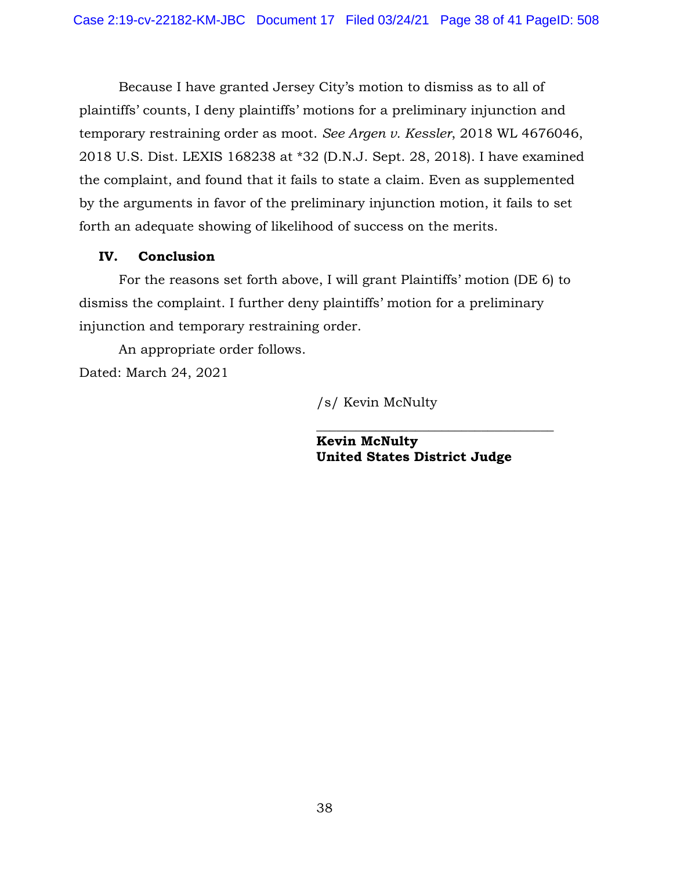Because I have granted Jersey City's motion to dismiss as to all of plaintiffs' counts, I deny plaintiffs' motions for a preliminary injunction and temporary restraining order as moot. *See Argen v. Kessler*, 2018 WL 4676046, 2018 U.S. Dist. LEXIS 168238 at \*32 (D.N.J. Sept. 28, 2018). I have examined the complaint, and found that it fails to state a claim. Even as supplemented by the arguments in favor of the preliminary injunction motion, it fails to set forth an adequate showing of likelihood of success on the merits.

## **IV. Conclusion**

For the reasons set forth above, I will grant Plaintiffs' motion (DE 6) to dismiss the complaint. I further deny plaintiffs' motion for a preliminary injunction and temporary restraining order.

An appropriate order follows. Dated: March 24, 2021

/s/ Kevin McNulty

 **Kevin McNulty United States District Judge**

 $\_$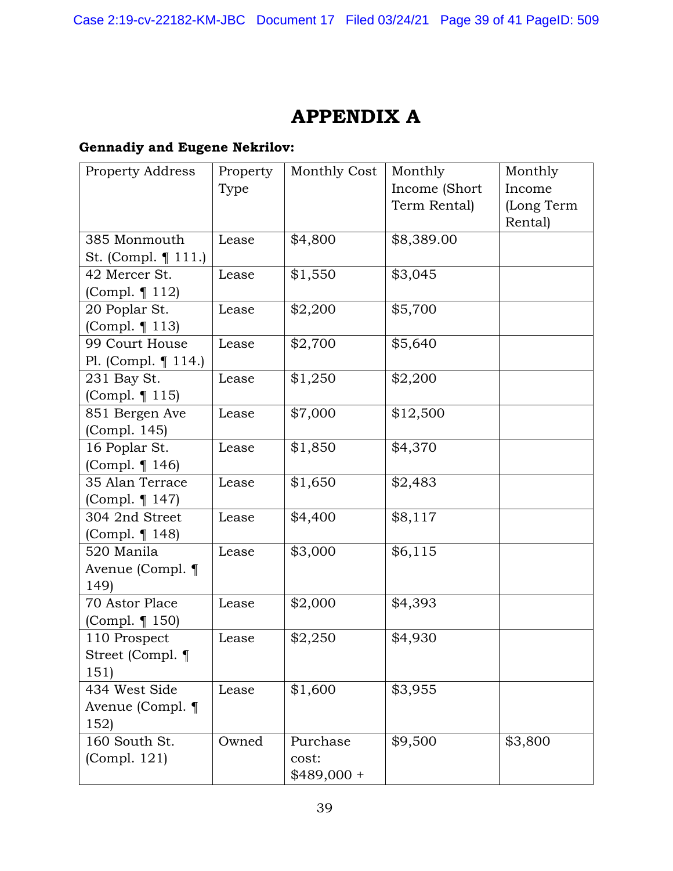# **APPENDIX A**

## **Gennadiy and Eugene Nekrilov:**

| Property Address       | Property | Monthly Cost | Monthly       | Monthly    |
|------------------------|----------|--------------|---------------|------------|
|                        | Type     |              | Income (Short | Income     |
|                        |          |              | Term Rental)  | (Long Term |
|                        |          |              |               | Rental)    |
| 385 Monmouth           | Lease    | \$4,800      | \$8,389.00    |            |
| St. (Compl. $\P$ 111.) |          |              |               |            |
| 42 Mercer St.          | Lease    | \$1,550      | \$3,045       |            |
| (Compl. ¶ 112)         |          |              |               |            |
| 20 Poplar St.          | Lease    | \$2,200      | \$5,700       |            |
| (Compl. ¶ 113)         |          |              |               |            |
| 99 Court House         | Lease    | \$2,700      | \$5,640       |            |
| Pl. (Compl. $\P$ 114.) |          |              |               |            |
| 231 Bay St.            | Lease    | \$1,250      | \$2,200       |            |
| (Compl. ¶ 115)         |          |              |               |            |
| 851 Bergen Ave         | Lease    | \$7,000      | \$12,500      |            |
| (Compl. 145)           |          |              |               |            |
| 16 Poplar St.          | Lease    | \$1,850      | \$4,370       |            |
| (Compl. ¶ 146)         |          |              |               |            |
| 35 Alan Terrace        | Lease    | \$1,650      | \$2,483       |            |
| (Compl. ¶ 147)         |          |              |               |            |
| 304 2nd Street         | Lease    | \$4,400      | \$8,117       |            |
| (Compl. ¶ 148)         |          |              |               |            |
| 520 Manila             | Lease    | \$3,000      | \$6,115       |            |
| Avenue (Compl. ¶       |          |              |               |            |
| 149                    |          |              |               |            |
| 70 Astor Place         | Lease    | \$2,000      | \$4,393       |            |
| (Compl. ¶ 150)         |          |              |               |            |
| 110 Prospect           | Lease    | \$2,250      | \$4,930       |            |
| Street (Compl. ¶       |          |              |               |            |
| 151)                   |          |              |               |            |
| 434 West Side          | Lease    | \$1,600      | \$3,955       |            |
| Avenue (Compl. ¶       |          |              |               |            |
| 152)                   |          |              |               |            |
| 160 South St.          | Owned    | Purchase     | \$9,500       | \$3,800    |
| (Compl. 121)           |          | cost:        |               |            |
|                        |          | $$489,000 +$ |               |            |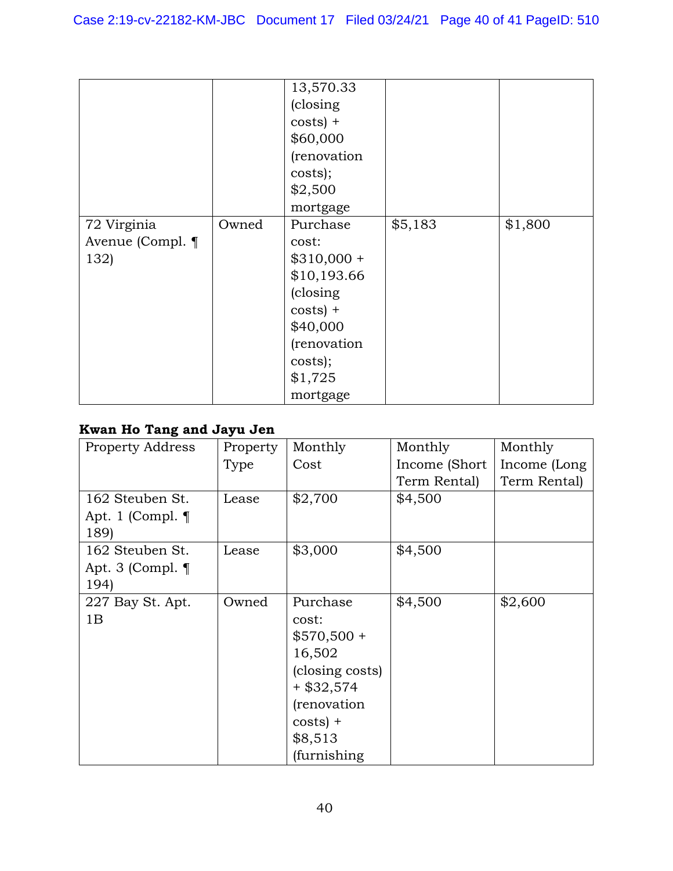|                  |       | 13,570.33    |         |         |
|------------------|-------|--------------|---------|---------|
|                  |       | (closing)    |         |         |
|                  |       | $costs$ ) +  |         |         |
|                  |       | \$60,000     |         |         |
|                  |       | (renovation  |         |         |
|                  |       | costs);      |         |         |
|                  |       | \$2,500      |         |         |
|                  |       | mortgage     |         |         |
| 72 Virginia      | Owned | Purchase     | \$5,183 | \$1,800 |
| Avenue (Compl. ¶ |       | cost:        |         |         |
| 132)             |       | $$310,000 +$ |         |         |
|                  |       | \$10,193.66  |         |         |
|                  |       | (closing)    |         |         |
|                  |       | $costs$ ) +  |         |         |
|                  |       | \$40,000     |         |         |
|                  |       | (renovation  |         |         |
|                  |       | costs);      |         |         |
|                  |       | \$1,725      |         |         |
|                  |       | mortgage     |         |         |

## **Kwan Ho Tang and Jayu Jen**

| <b>Property Address</b> | Property | Monthly         | Monthly        | Monthly      |
|-------------------------|----------|-----------------|----------------|--------------|
|                         | Type     | Cost            | Income (Short) | Income (Long |
|                         |          |                 | Term Rental)   | Term Rental) |
| 162 Steuben St.         | Lease    | \$2,700         | \$4,500        |              |
| Apt. 1 (Compl. $\P$     |          |                 |                |              |
| 189)                    |          |                 |                |              |
| 162 Steuben St.         | Lease    | \$3,000         | \$4,500        |              |
| Apt. 3 (Compl. $\P$     |          |                 |                |              |
| 194)                    |          |                 |                |              |
| 227 Bay St. Apt.        | Owned    | Purchase        | \$4,500        | \$2,600      |
| 1B                      |          | cost:           |                |              |
|                         |          | $$570,500 +$    |                |              |
|                         |          | 16,502          |                |              |
|                         |          | (closing costs) |                |              |
|                         |          | + \$32,574      |                |              |
|                         |          | (renovation     |                |              |
|                         |          | $costs$ ) +     |                |              |
|                         |          | \$8,513         |                |              |
|                         |          | (furnishing     |                |              |